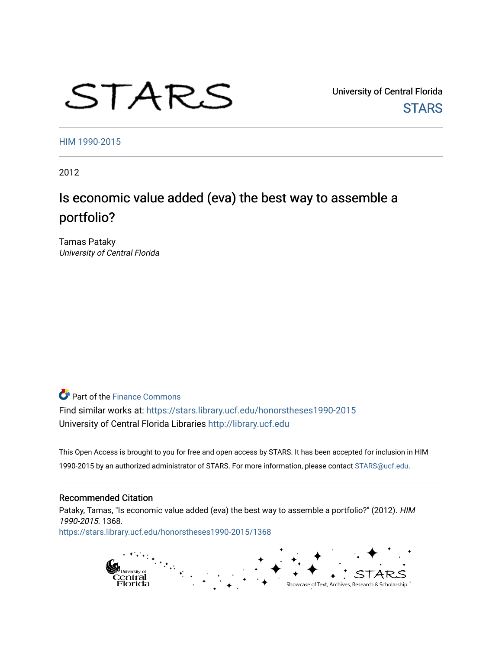# STARS

University of Central Florida **STARS** 

[HIM 1990-2015](https://stars.library.ucf.edu/honorstheses1990-2015) 

2012

# Is economic value added (eva) the best way to assemble a portfolio?

Tamas Pataky University of Central Florida

# **P** Part of the Finance Commons

Find similar works at: <https://stars.library.ucf.edu/honorstheses1990-2015> University of Central Florida Libraries [http://library.ucf.edu](http://library.ucf.edu/) 

This Open Access is brought to you for free and open access by STARS. It has been accepted for inclusion in HIM 1990-2015 by an authorized administrator of STARS. For more information, please contact [STARS@ucf.edu](mailto:STARS@ucf.edu).

### Recommended Citation

Pataky, Tamas, "Is economic value added (eva) the best way to assemble a portfolio?" (2012). HIM 1990-2015. 1368. [https://stars.library.ucf.edu/honorstheses1990-2015/1368](https://stars.library.ucf.edu/honorstheses1990-2015/1368?utm_source=stars.library.ucf.edu%2Fhonorstheses1990-2015%2F1368&utm_medium=PDF&utm_campaign=PDFCoverPages) 

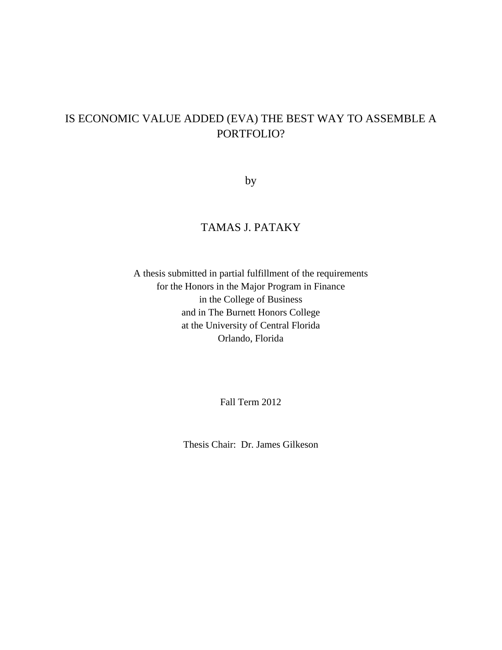# IS ECONOMIC VALUE ADDED (EVA) THE BEST WAY TO ASSEMBLE A PORTFOLIO?

by

# TAMAS J. PATAKY

A thesis submitted in partial fulfillment of the requirements for the Honors in the Major Program in Finance in the College of Business and in The Burnett Honors College at the University of Central Florida Orlando, Florida

Fall Term 2012

Thesis Chair: Dr. James Gilkeson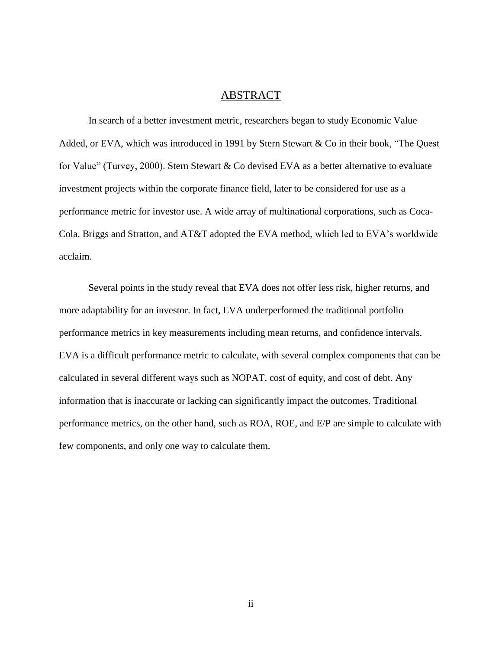#### ABSTRACT

In search of a better investment metric, researchers began to study Economic Value Added, or EVA, which was introduced in 1991 by Stern Stewart & Co in their book, "The Quest for Value" (Turvey, 2000). Stern Stewart & Co devised EVA as a better alternative to evaluate investment projects within the corporate finance field, later to be considered for use as a performance metric for investor use. A wide array of multinational corporations, such as Coca-Cola, Briggs and Stratton, and AT&T adopted the EVA method, which led to EVA's worldwide acclaim.

Several points in the study reveal that EVA does not offer less risk, higher returns, and more adaptability for an investor. In fact, EVA underperformed the traditional portfolio performance metrics in key measurements including mean returns, and confidence intervals. EVA is a difficult performance metric to calculate, with several complex components that can be calculated in several different ways such as NOPAT, cost of equity, and cost of debt. Any information that is inaccurate or lacking can significantly impact the outcomes. Traditional performance metrics, on the other hand, such as ROA, ROE, and E/P are simple to calculate with few components, and only one way to calculate them.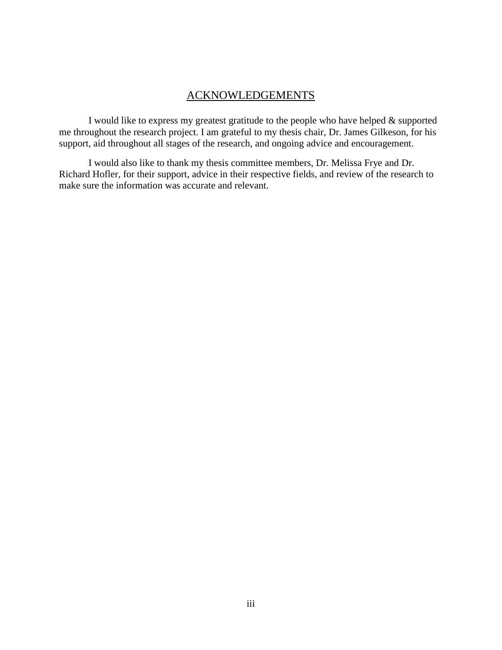# ACKNOWLEDGEMENTS

I would like to express my greatest gratitude to the people who have helped & supported me throughout the research project. I am grateful to my thesis chair, Dr. James Gilkeson, for his support, aid throughout all stages of the research, and ongoing advice and encouragement.

I would also like to thank my thesis committee members, Dr. Melissa Frye and Dr. Richard Hofler, for their support, advice in their respective fields, and review of the research to make sure the information was accurate and relevant.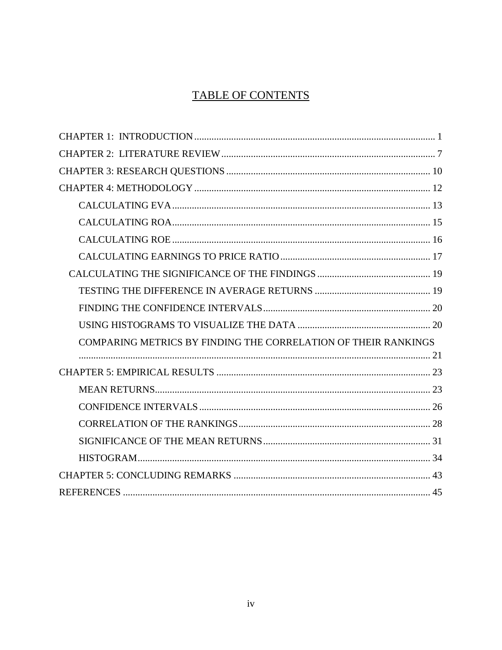# **TABLE OF CONTENTS**

| COMPARING METRICS BY FINDING THE CORRELATION OF THEIR RANKINGS |  |
|----------------------------------------------------------------|--|
|                                                                |  |
|                                                                |  |
|                                                                |  |
|                                                                |  |
|                                                                |  |
|                                                                |  |
|                                                                |  |
|                                                                |  |
|                                                                |  |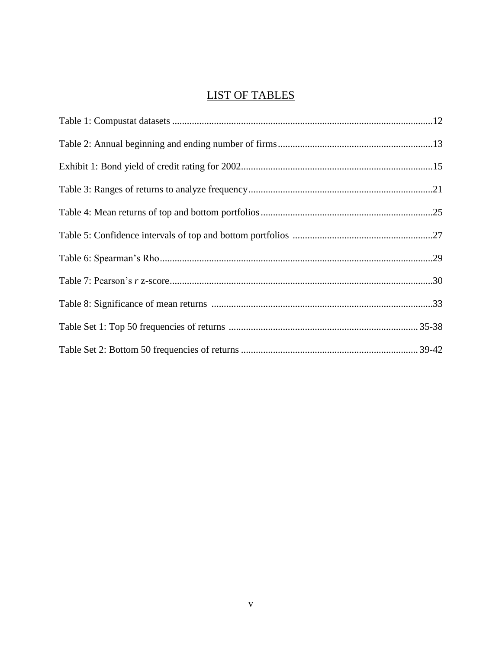# LIST OF TABLES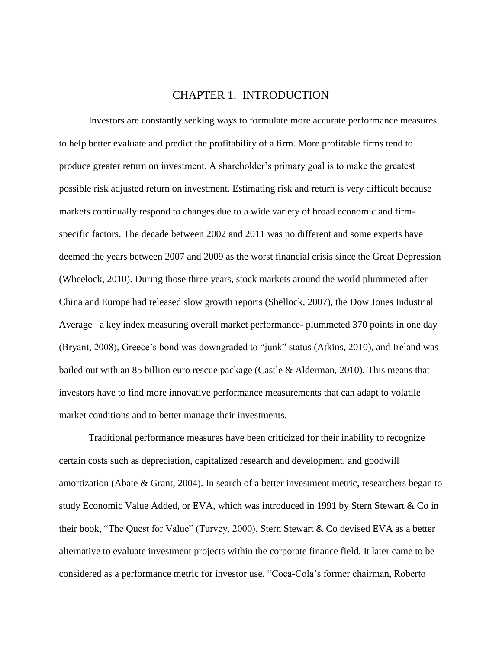#### CHAPTER 1: INTRODUCTION

<span id="page-6-0"></span>Investors are constantly seeking ways to formulate more accurate performance measures to help better evaluate and predict the profitability of a firm. More profitable firms tend to produce greater return on investment. A shareholder's primary goal is to make the greatest possible risk adjusted return on investment. Estimating risk and return is very difficult because markets continually respond to changes due to a wide variety of broad economic and firmspecific factors. The decade between 2002 and 2011 was no different and some experts have deemed the years between 2007 and 2009 as the worst financial crisis since the Great Depression (Wheelock, 2010). During those three years, stock markets around the world plummeted after China and Europe had released slow growth reports (Shellock, 2007), the Dow Jones Industrial Average –a key index measuring overall market performance- plummeted 370 points in one day (Bryant, 2008), Greece's bond was downgraded to "junk" status (Atkins, 2010), and Ireland was bailed out with an 85 billion euro rescue package (Castle & Alderman, 2010). This means that investors have to find more innovative performance measurements that can adapt to volatile market conditions and to better manage their investments.

Traditional performance measures have been criticized for their inability to recognize certain costs such as depreciation, capitalized research and development, and goodwill amortization (Abate & Grant, 2004). In search of a better investment metric, researchers began to study Economic Value Added, or EVA, which was introduced in 1991 by Stern Stewart & Co in their book, "The Quest for Value" (Turvey, 2000). Stern Stewart & Co devised EVA as a better alternative to evaluate investment projects within the corporate finance field. It later came to be considered as a performance metric for investor use. "Coca-Cola's former chairman, Roberto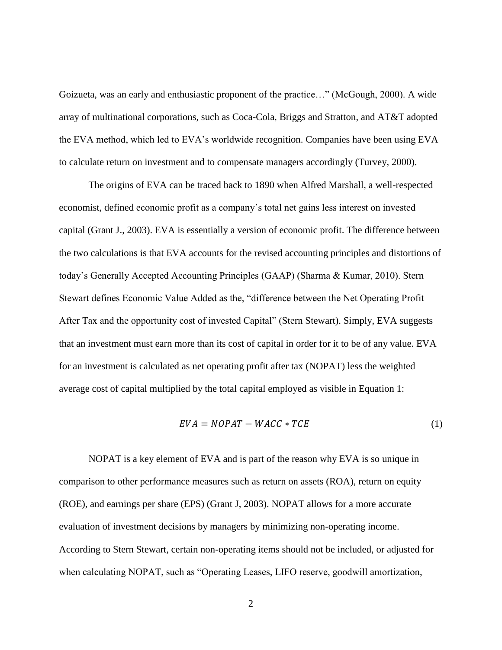Goizueta, was an early and enthusiastic proponent of the practice…" (McGough, 2000). A wide array of multinational corporations, such as Coca-Cola, Briggs and Stratton, and AT&T adopted the EVA method, which led to EVA's worldwide recognition. Companies have been using EVA to calculate return on investment and to compensate managers accordingly (Turvey, 2000).

The origins of EVA can be traced back to 1890 when Alfred Marshall, a well-respected economist, defined economic profit as a company's total net gains less interest on invested capital (Grant J., 2003). EVA is essentially a version of economic profit. The difference between the two calculations is that EVA accounts for the revised accounting principles and distortions of today's Generally Accepted Accounting Principles (GAAP) (Sharma & Kumar, 2010). Stern Stewart defines Economic Value Added as the, "difference between the Net Operating Profit After Tax and the opportunity cost of invested Capital" (Stern Stewart). Simply, EVA suggests that an investment must earn more than its cost of capital in order for it to be of any value. EVA for an investment is calculated as net operating profit after tax (NOPAT) less the weighted average cost of capital multiplied by the total capital employed as visible in Equation 1:

$$
EVA = NOPAT - WACC * TCE
$$
 (1)

NOPAT is a key element of EVA and is part of the reason why EVA is so unique in comparison to other performance measures such as return on assets (ROA), return on equity (ROE), and earnings per share (EPS) (Grant J, 2003). NOPAT allows for a more accurate evaluation of investment decisions by managers by minimizing non-operating income. According to Stern Stewart, certain non-operating items should not be included, or adjusted for when calculating NOPAT, such as "Operating Leases, LIFO reserve, goodwill amortization,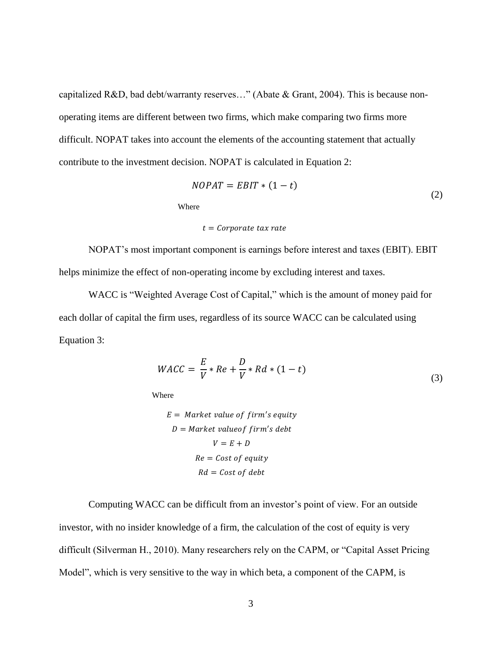capitalized R&D, bad debt/warranty reserves…" (Abate & Grant, 2004). This is because nonoperating items are different between two firms, which make comparing two firms more difficult. NOPAT takes into account the elements of the accounting statement that actually contribute to the investment decision. NOPAT is calculated in Equation 2:

$$
NOPAT = EBIT * (1 - t)
$$
\n<sup>(2)</sup>

Where

 $t = Corporate tax rate$ 

NOPAT's most important component is earnings before interest and taxes (EBIT). EBIT helps minimize the effect of non-operating income by excluding interest and taxes.

WACC is "Weighted Average Cost of Capital," which is the amount of money paid for each dollar of capital the firm uses, regardless of its source WACC can be calculated using Equation 3:

$$
WACC = \frac{E}{V} * Re + \frac{D}{V} * Rd * (1 - t)
$$
\n(3)

Where

 $E =$  Market value of firm's  $D = Market$  value of firm's  $V = E + D$  $Re = Cost of equity$  $Rd = Cost of debt$ 

Computing WACC can be difficult from an investor's point of view. For an outside investor, with no insider knowledge of a firm, the calculation of the cost of equity is very difficult (Silverman H., 2010). Many researchers rely on the CAPM, or "Capital Asset Pricing Model", which is very sensitive to the way in which beta, a component of the CAPM, is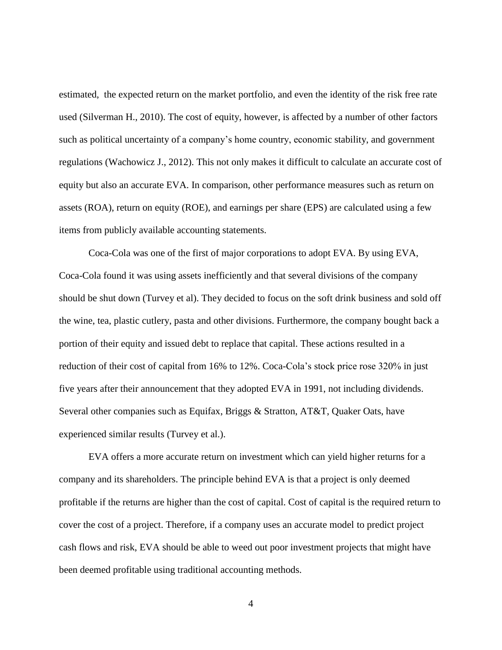estimated, the expected return on the market portfolio, and even the identity of the risk free rate used (Silverman H., 2010). The cost of equity, however, is affected by a number of other factors such as political uncertainty of a company's home country, economic stability, and government regulations (Wachowicz J., 2012). This not only makes it difficult to calculate an accurate cost of equity but also an accurate EVA. In comparison, other performance measures such as return on assets (ROA), return on equity (ROE), and earnings per share (EPS) are calculated using a few items from publicly available accounting statements.

Coca-Cola was one of the first of major corporations to adopt EVA. By using EVA, Coca-Cola found it was using assets inefficiently and that several divisions of the company should be shut down (Turvey et al). They decided to focus on the soft drink business and sold off the wine, tea, plastic cutlery, pasta and other divisions. Furthermore, the company bought back a portion of their equity and issued debt to replace that capital. These actions resulted in a reduction of their cost of capital from 16% to 12%. Coca-Cola's stock price rose 320% in just five years after their announcement that they adopted EVA in 1991, not including dividends. Several other companies such as Equifax, Briggs & Stratton, AT&T, Quaker Oats, have experienced similar results (Turvey et al.).

EVA offers a more accurate return on investment which can yield higher returns for a company and its shareholders. The principle behind EVA is that a project is only deemed profitable if the returns are higher than the cost of capital. Cost of capital is the required return to cover the cost of a project. Therefore, if a company uses an accurate model to predict project cash flows and risk, EVA should be able to weed out poor investment projects that might have been deemed profitable using traditional accounting methods.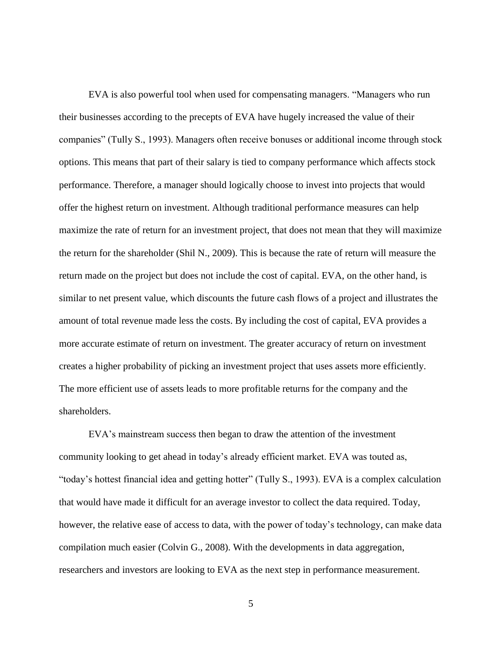EVA is also powerful tool when used for compensating managers. "Managers who run their businesses according to the precepts of EVA have hugely increased the value of their companies" (Tully S., 1993). Managers often receive bonuses or additional income through stock options. This means that part of their salary is tied to company performance which affects stock performance. Therefore, a manager should logically choose to invest into projects that would offer the highest return on investment. Although traditional performance measures can help maximize the rate of return for an investment project, that does not mean that they will maximize the return for the shareholder (Shil N., 2009). This is because the rate of return will measure the return made on the project but does not include the cost of capital. EVA, on the other hand, is similar to net present value, which discounts the future cash flows of a project and illustrates the amount of total revenue made less the costs. By including the cost of capital, EVA provides a more accurate estimate of return on investment. The greater accuracy of return on investment creates a higher probability of picking an investment project that uses assets more efficiently. The more efficient use of assets leads to more profitable returns for the company and the shareholders.

EVA's mainstream success then began to draw the attention of the investment community looking to get ahead in today's already efficient market. EVA was touted as, "today's hottest financial idea and getting hotter" (Tully S., 1993). EVA is a complex calculation that would have made it difficult for an average investor to collect the data required. Today, however, the relative ease of access to data, with the power of today's technology, can make data compilation much easier (Colvin G., 2008). With the developments in data aggregation, researchers and investors are looking to EVA as the next step in performance measurement.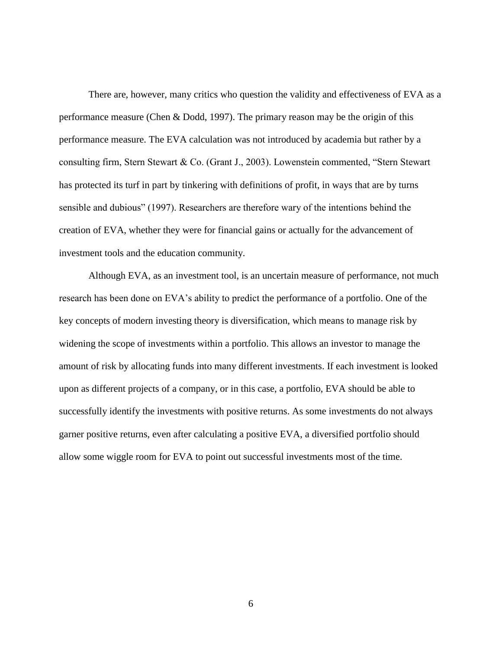There are, however, many critics who question the validity and effectiveness of EVA as a performance measure (Chen & Dodd, 1997). The primary reason may be the origin of this performance measure. The EVA calculation was not introduced by academia but rather by a consulting firm, Stern Stewart & Co. (Grant J., 2003). Lowenstein commented, "Stern Stewart has protected its turf in part by tinkering with definitions of profit, in ways that are by turns sensible and dubious" (1997). Researchers are therefore wary of the intentions behind the creation of EVA, whether they were for financial gains or actually for the advancement of investment tools and the education community.

Although EVA, as an investment tool, is an uncertain measure of performance, not much research has been done on EVA's ability to predict the performance of a portfolio. One of the key concepts of modern investing theory is diversification, which means to manage risk by widening the scope of investments within a portfolio. This allows an investor to manage the amount of risk by allocating funds into many different investments. If each investment is looked upon as different projects of a company, or in this case, a portfolio, EVA should be able to successfully identify the investments with positive returns. As some investments do not always garner positive returns, even after calculating a positive EVA, a diversified portfolio should allow some wiggle room for EVA to point out successful investments most of the time.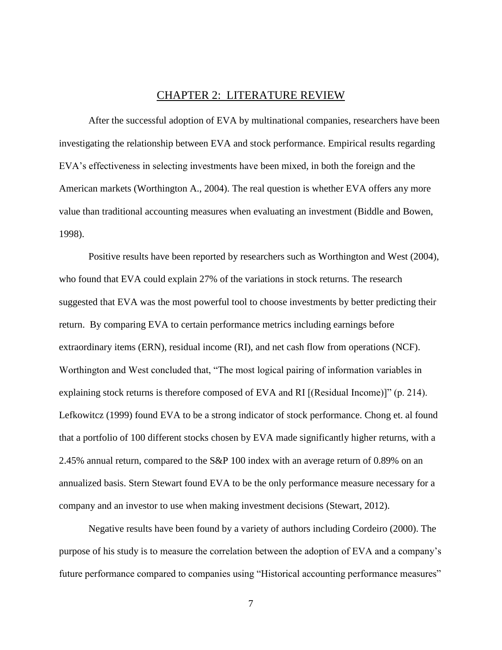#### CHAPTER 2: LITERATURE REVIEW

<span id="page-12-0"></span>After the successful adoption of EVA by multinational companies, researchers have been investigating the relationship between EVA and stock performance. Empirical results regarding EVA's effectiveness in selecting investments have been mixed, in both the foreign and the American markets (Worthington A., 2004). The real question is whether EVA offers any more value than traditional accounting measures when evaluating an investment (Biddle and Bowen, 1998).

Positive results have been reported by researchers such as Worthington and West (2004), who found that EVA could explain 27% of the variations in stock returns. The research suggested that EVA was the most powerful tool to choose investments by better predicting their return. By comparing EVA to certain performance metrics including earnings before extraordinary items (ERN), residual income (RI), and net cash flow from operations (NCF). Worthington and West concluded that, "The most logical pairing of information variables in explaining stock returns is therefore composed of EVA and RI [(Residual Income)]" (p. 214). Lefkowitcz (1999) found EVA to be a strong indicator of stock performance. Chong et. al found that a portfolio of 100 different stocks chosen by EVA made significantly higher returns, with a 2.45% annual return, compared to the S&P 100 index with an average return of 0.89% on an annualized basis. Stern Stewart found EVA to be the only performance measure necessary for a company and an investor to use when making investment decisions (Stewart, 2012).

Negative results have been found by a variety of authors including Cordeiro (2000). The purpose of his study is to measure the correlation between the adoption of EVA and a company's future performance compared to companies using "Historical accounting performance measures"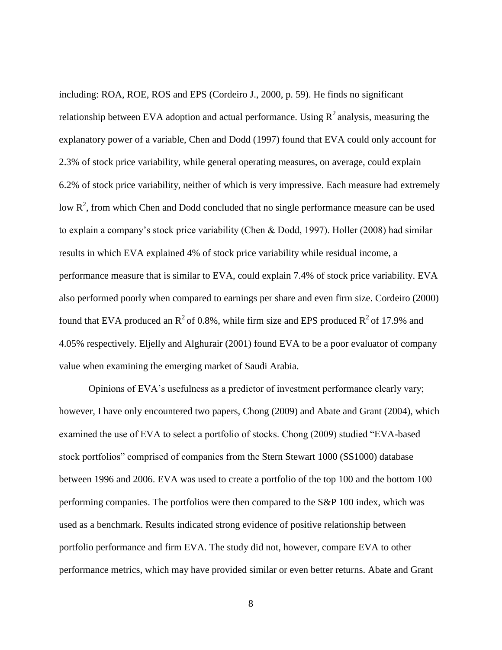including: ROA, ROE, ROS and EPS (Cordeiro J., 2000, p. 59). He finds no significant relationship between EVA adoption and actual performance. Using  $R^2$  analysis, measuring the explanatory power of a variable, Chen and Dodd (1997) found that EVA could only account for 2.3% of stock price variability, while general operating measures, on average, could explain 6.2% of stock price variability, neither of which is very impressive. Each measure had extremely low  $R<sup>2</sup>$ , from which Chen and Dodd concluded that no single performance measure can be used to explain a company's stock price variability (Chen & Dodd, 1997). Holler (2008) had similar results in which EVA explained 4% of stock price variability while residual income, a performance measure that is similar to EVA, could explain 7.4% of stock price variability. EVA also performed poorly when compared to earnings per share and even firm size. Cordeiro (2000) found that EVA produced an  $R^2$  of 0.8%, while firm size and EPS produced  $R^2$  of 17.9% and 4.05% respectively. Eljelly and Alghurair (2001) found EVA to be a poor evaluator of company value when examining the emerging market of Saudi Arabia.

Opinions of EVA's usefulness as a predictor of investment performance clearly vary; however, I have only encountered two papers, Chong (2009) and Abate and Grant (2004), which examined the use of EVA to select a portfolio of stocks. Chong (2009) studied "EVA-based stock portfolios" comprised of companies from the Stern Stewart 1000 (SS1000) database between 1996 and 2006. EVA was used to create a portfolio of the top 100 and the bottom 100 performing companies. The portfolios were then compared to the S&P 100 index, which was used as a benchmark. Results indicated strong evidence of positive relationship between portfolio performance and firm EVA. The study did not, however, compare EVA to other performance metrics, which may have provided similar or even better returns. Abate and Grant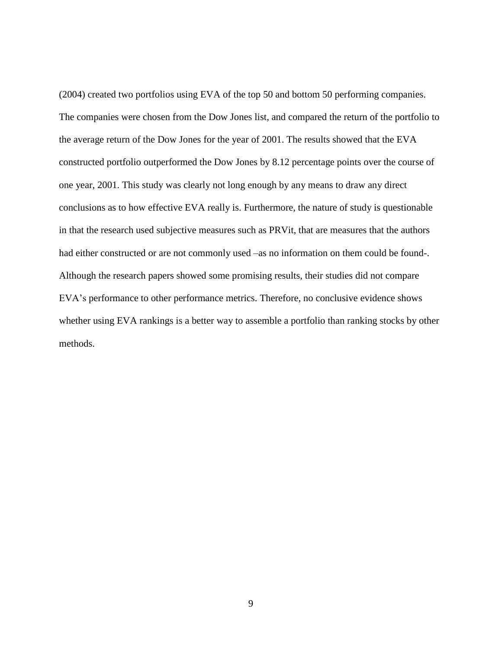(2004) created two portfolios using EVA of the top 50 and bottom 50 performing companies. The companies were chosen from the Dow Jones list, and compared the return of the portfolio to the average return of the Dow Jones for the year of 2001. The results showed that the EVA constructed portfolio outperformed the Dow Jones by 8.12 percentage points over the course of one year, 2001. This study was clearly not long enough by any means to draw any direct conclusions as to how effective EVA really is. Furthermore, the nature of study is questionable in that the research used subjective measures such as PRVit, that are measures that the authors had either constructed or are not commonly used –as no information on them could be found-. Although the research papers showed some promising results, their studies did not compare EVA's performance to other performance metrics. Therefore, no conclusive evidence shows whether using EVA rankings is a better way to assemble a portfolio than ranking stocks by other methods.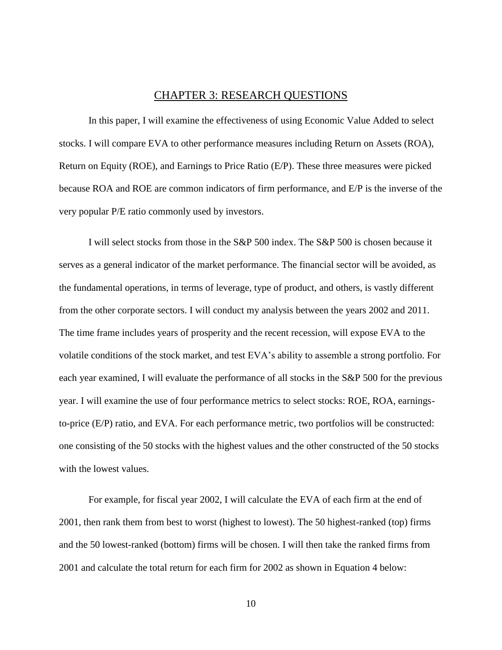#### CHAPTER 3: RESEARCH QUESTIONS

<span id="page-15-0"></span>In this paper, I will examine the effectiveness of using Economic Value Added to select stocks. I will compare EVA to other performance measures including Return on Assets (ROA), Return on Equity (ROE), and Earnings to Price Ratio (E/P). These three measures were picked because ROA and ROE are common indicators of firm performance, and E/P is the inverse of the very popular P/E ratio commonly used by investors.

I will select stocks from those in the S&P 500 index. The S&P 500 is chosen because it serves as a general indicator of the market performance. The financial sector will be avoided, as the fundamental operations, in terms of leverage, type of product, and others, is vastly different from the other corporate sectors. I will conduct my analysis between the years 2002 and 2011. The time frame includes years of prosperity and the recent recession, will expose EVA to the volatile conditions of the stock market, and test EVA's ability to assemble a strong portfolio. For each year examined, I will evaluate the performance of all stocks in the S&P 500 for the previous year. I will examine the use of four performance metrics to select stocks: ROE, ROA, earningsto-price (E/P) ratio, and EVA. For each performance metric, two portfolios will be constructed: one consisting of the 50 stocks with the highest values and the other constructed of the 50 stocks with the lowest values.

For example, for fiscal year 2002, I will calculate the EVA of each firm at the end of 2001, then rank them from best to worst (highest to lowest). The 50 highest-ranked (top) firms and the 50 lowest-ranked (bottom) firms will be chosen. I will then take the ranked firms from 2001 and calculate the total return for each firm for 2002 as shown in Equation 4 below: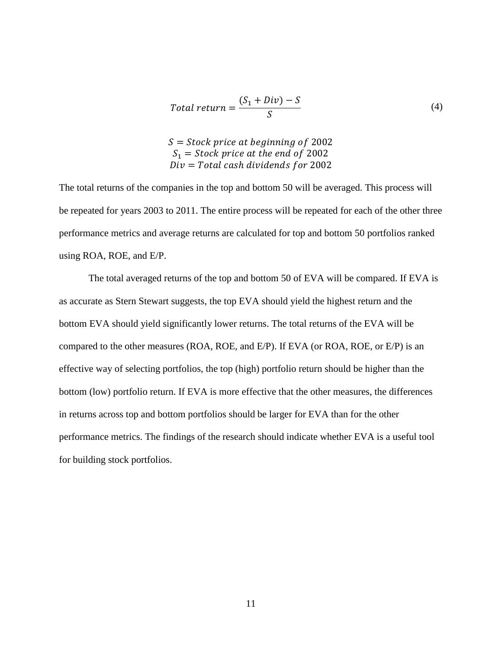$$
Total return = \frac{(S_1 + Div) - S}{S}
$$
\n(4)

 $S = Stock\ price\ at\ beginning\ of\ 2002$  $S_1$  = Stock price at the end of 2002  $Div = Total cash dividends for 2002$ 

The total returns of the companies in the top and bottom 50 will be averaged. This process will be repeated for years 2003 to 2011. The entire process will be repeated for each of the other three performance metrics and average returns are calculated for top and bottom 50 portfolios ranked using ROA, ROE, and E/P.

The total averaged returns of the top and bottom 50 of EVA will be compared. If EVA is as accurate as Stern Stewart suggests, the top EVA should yield the highest return and the bottom EVA should yield significantly lower returns. The total returns of the EVA will be compared to the other measures (ROA, ROE, and E/P). If EVA (or ROA, ROE, or E/P) is an effective way of selecting portfolios, the top (high) portfolio return should be higher than the bottom (low) portfolio return. If EVA is more effective that the other measures, the differences in returns across top and bottom portfolios should be larger for EVA than for the other performance metrics. The findings of the research should indicate whether EVA is a useful tool for building stock portfolios.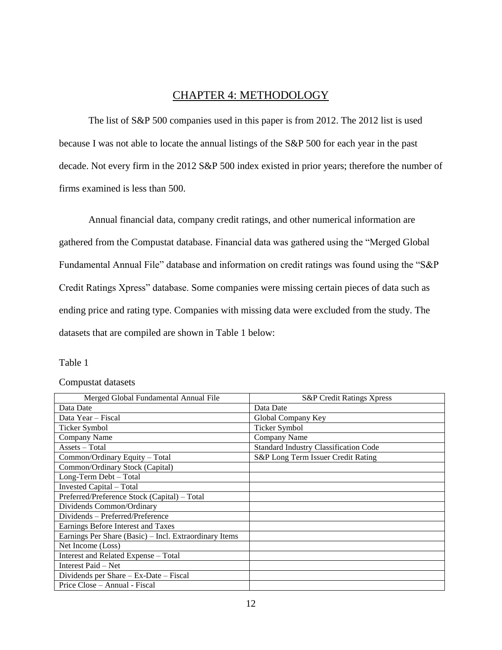# CHAPTER 4: METHODOLOGY

<span id="page-17-0"></span>The list of S&P 500 companies used in this paper is from 2012. The 2012 list is used because I was not able to locate the annual listings of the S&P 500 for each year in the past decade. Not every firm in the 2012 S&P 500 index existed in prior years; therefore the number of firms examined is less than 500.

Annual financial data, company credit ratings, and other numerical information are gathered from the Compustat database. Financial data was gathered using the "Merged Global Fundamental Annual File" database and information on credit ratings was found using the "S&P Credit Ratings Xpress" database. Some companies were missing certain pieces of data such as ending price and rating type. Companies with missing data were excluded from the study. The datasets that are compiled are shown in Table 1 below:

#### Table 1

#### Compustat datasets

| Merged Global Fundamental Annual File                  | <b>S&amp;P</b> Credit Ratings Xpress         |
|--------------------------------------------------------|----------------------------------------------|
| Data Date                                              | Data Date                                    |
| Data Year - Fiscal                                     | Global Company Key                           |
| Ticker Symbol                                          | <b>Ticker Symbol</b>                         |
| Company Name                                           | Company Name                                 |
| Assets - Total                                         | <b>Standard Industry Classification Code</b> |
| Common/Ordinary Equity - Total                         | S&P Long Term Issuer Credit Rating           |
| Common/Ordinary Stock (Capital)                        |                                              |
| Long-Term Debt - Total                                 |                                              |
| <b>Invested Capital - Total</b>                        |                                              |
| Preferred/Preference Stock (Capital) - Total           |                                              |
| Dividends Common/Ordinary                              |                                              |
| Dividends - Preferred/Preference                       |                                              |
| Earnings Before Interest and Taxes                     |                                              |
| Earnings Per Share (Basic) – Incl. Extraordinary Items |                                              |
| Net Income (Loss)                                      |                                              |
| Interest and Related Expense - Total                   |                                              |
| Interest Paid - Net                                    |                                              |
| Dividends per Share - Ex-Date - Fiscal                 |                                              |
| Price Close - Annual - Fiscal                          |                                              |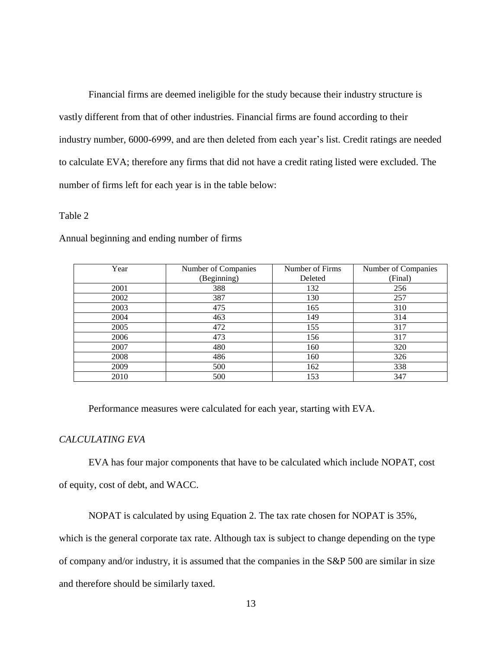Financial firms are deemed ineligible for the study because their industry structure is vastly different from that of other industries. Financial firms are found according to their industry number, 6000-6999, and are then deleted from each year's list. Credit ratings are needed to calculate EVA; therefore any firms that did not have a credit rating listed were excluded. The number of firms left for each year is in the table below:

#### Table 2

| Year | Number of Companies | Number of Firms | Number of Companies |
|------|---------------------|-----------------|---------------------|
|      |                     |                 |                     |
|      | (Beginning)         | Deleted         | (Final)             |
| 2001 | 388                 | 132             | 256                 |
| 2002 | 387                 | 130             | 257                 |
| 2003 | 475                 | 165             | 310                 |
| 2004 | 463                 | 149             | 314                 |
| 2005 | 472                 | 155             | 317                 |
| 2006 | 473                 | 156             | 317                 |
| 2007 | 480                 | 160             | 320                 |
| 2008 | 486                 | 160             | 326                 |
| 2009 | 500                 | 162             | 338                 |
| 2010 | 500                 | 153             | 347                 |

Annual beginning and ending number of firms

Performance measures were calculated for each year, starting with EVA.

#### <span id="page-18-0"></span>*CALCULATING EVA*

EVA has four major components that have to be calculated which include NOPAT, cost of equity, cost of debt, and WACC.

NOPAT is calculated by using Equation 2. The tax rate chosen for NOPAT is 35%,

which is the general corporate tax rate. Although tax is subject to change depending on the type of company and/or industry, it is assumed that the companies in the S&P 500 are similar in size and therefore should be similarly taxed.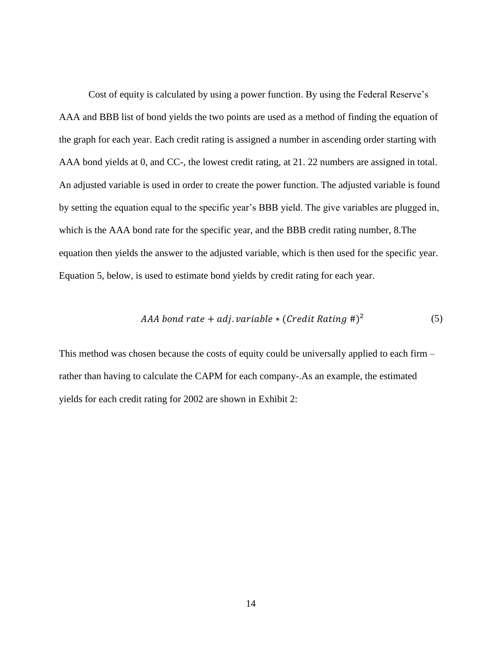Cost of equity is calculated by using a power function. By using the Federal Reserve's AAA and BBB list of bond yields the two points are used as a method of finding the equation of the graph for each year. Each credit rating is assigned a number in ascending order starting with AAA bond yields at 0, and CC-, the lowest credit rating, at 21. 22 numbers are assigned in total. An adjusted variable is used in order to create the power function. The adjusted variable is found by setting the equation equal to the specific year's BBB yield. The give variables are plugged in, which is the AAA bond rate for the specific year, and the BBB credit rating number, 8.The equation then yields the answer to the adjusted variable, which is then used for the specific year. Equation 5, below, is used to estimate bond yields by credit rating for each year.

$$
AAA\;bond\;rate + adj.\,variable * (Credit\;Rating\; \#)^2\tag{5}
$$

This method was chosen because the costs of equity could be universally applied to each firm – rather than having to calculate the CAPM for each company-.As an example, the estimated yields for each credit rating for 2002 are shown in Exhibit 2: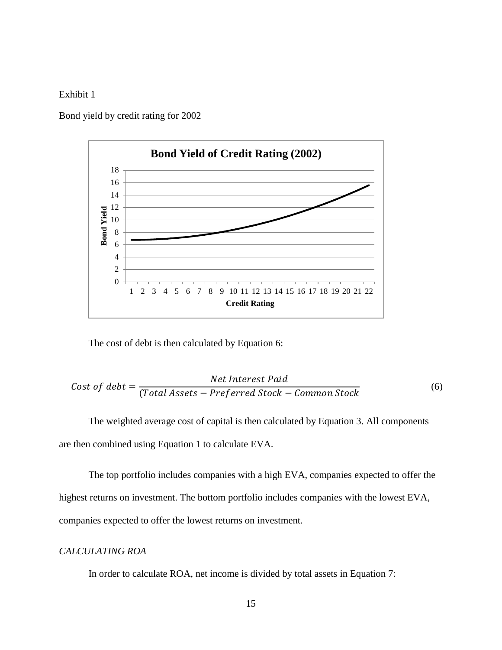#### Exhibit 1

Bond yield by credit rating for 2002



The cost of debt is then calculated by Equation 6:

$$
Cost of debt = \frac{Net Interest \, Paid}{(Total \, Assets - Preferred \, Stock - Common \, Stock}
$$
 (6)

The weighted average cost of capital is then calculated by Equation 3. All components are then combined using Equation 1 to calculate EVA.

The top portfolio includes companies with a high EVA, companies expected to offer the highest returns on investment. The bottom portfolio includes companies with the lowest EVA, companies expected to offer the lowest returns on investment.

## <span id="page-20-0"></span>*CALCULATING ROA*

In order to calculate ROA, net income is divided by total assets in Equation 7: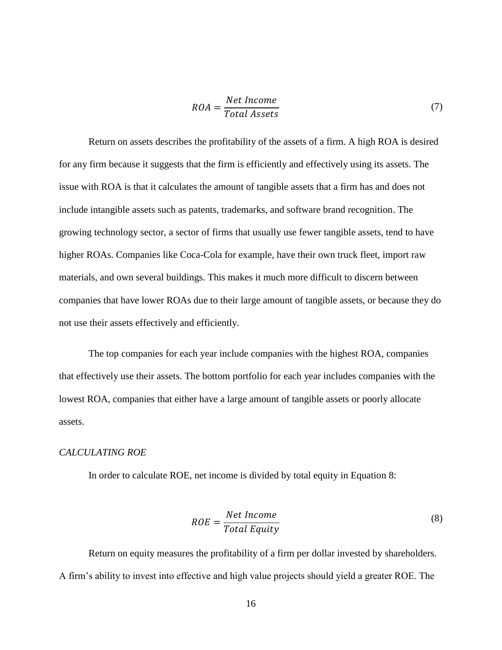$$
ROA = \frac{Net Income}{Total Assets}
$$
 (7)

Return on assets describes the profitability of the assets of a firm. A high ROA is desired for any firm because it suggests that the firm is efficiently and effectively using its assets. The issue with ROA is that it calculates the amount of tangible assets that a firm has and does not include intangible assets such as patents, trademarks, and software brand recognition. The growing technology sector, a sector of firms that usually use fewer tangible assets, tend to have higher ROAs. Companies like Coca-Cola for example, have their own truck fleet, import raw materials, and own several buildings. This makes it much more difficult to discern between companies that have lower ROAs due to their large amount of tangible assets, or because they do not use their assets effectively and efficiently.

The top companies for each year include companies with the highest ROA, companies that effectively use their assets. The bottom portfolio for each year includes companies with the lowest ROA, companies that either have a large amount of tangible assets or poorly allocate assets.

#### <span id="page-21-0"></span>*CALCULATING ROE*

In order to calculate ROE, net income is divided by total equity in Equation 8:

$$
ROE = \frac{Net Income}{Total Equity}
$$
 (8)

Return on equity measures the profitability of a firm per dollar invested by shareholders. A firm's ability to invest into effective and high value projects should yield a greater ROE. The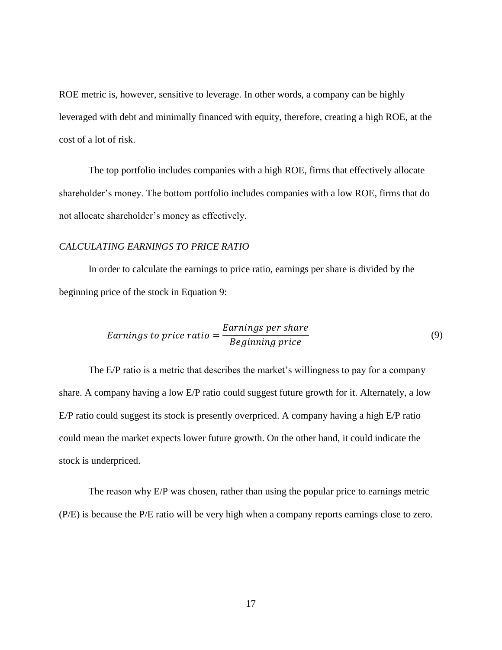ROE metric is, however, sensitive to leverage. In other words, a company can be highly leveraged with debt and minimally financed with equity, therefore, creating a high ROE, at the cost of a lot of risk.

The top portfolio includes companies with a high ROE, firms that effectively allocate shareholder's money. The bottom portfolio includes companies with a low ROE, firms that do not allocate shareholder's money as effectively.

#### <span id="page-22-0"></span>*CALCULATING EARNINGS TO PRICE RATIO*

In order to calculate the earnings to price ratio, earnings per share is divided by the beginning price of the stock in Equation 9:

*Examples to price ratio =* 
$$
\frac{Earnings}{Beginning price}
$$
 (9)

The E/P ratio is a metric that describes the market's willingness to pay for a company share. A company having a low E/P ratio could suggest future growth for it. Alternately, a low E/P ratio could suggest its stock is presently overpriced. A company having a high E/P ratio could mean the market expects lower future growth. On the other hand, it could indicate the stock is underpriced.

The reason why E/P was chosen, rather than using the popular price to earnings metric (P/E) is because the P/E ratio will be very high when a company reports earnings close to zero.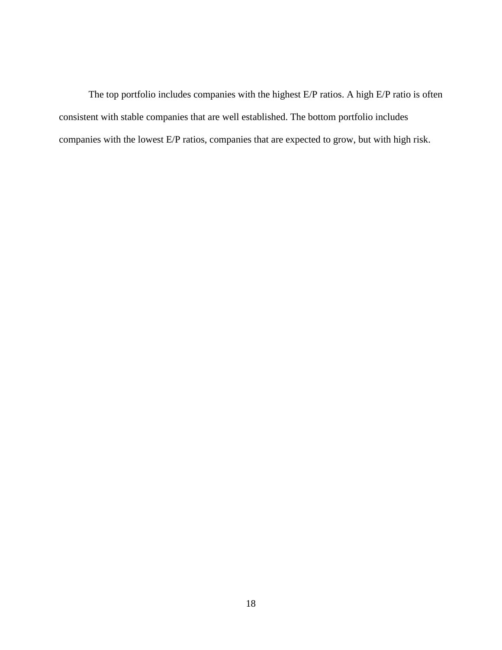The top portfolio includes companies with the highest E/P ratios. A high E/P ratio is often consistent with stable companies that are well established. The bottom portfolio includes companies with the lowest E/P ratios, companies that are expected to grow, but with high risk.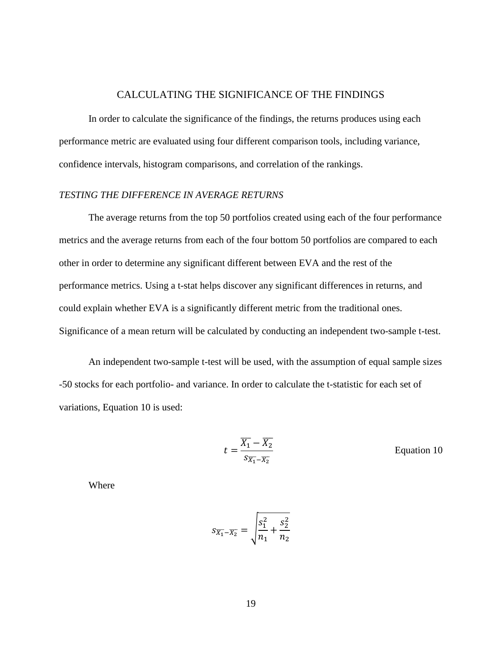## CALCULATING THE SIGNIFICANCE OF THE FINDINGS

<span id="page-24-0"></span>In order to calculate the significance of the findings, the returns produces using each performance metric are evaluated using four different comparison tools, including variance, confidence intervals, histogram comparisons, and correlation of the rankings.

### <span id="page-24-1"></span>*TESTING THE DIFFERENCE IN AVERAGE RETURNS*

The average returns from the top 50 portfolios created using each of the four performance metrics and the average returns from each of the four bottom 50 portfolios are compared to each other in order to determine any significant different between EVA and the rest of the performance metrics. Using a t-stat helps discover any significant differences in returns, and could explain whether EVA is a significantly different metric from the traditional ones. Significance of a mean return will be calculated by conducting an independent two-sample t-test.

An independent two-sample t-test will be used, with the assumption of equal sample sizes -50 stocks for each portfolio- and variance. In order to calculate the t-statistic for each set of variations, Equation 10 is used:

$$
t = \frac{\overline{X_1} - \overline{X_2}}{s_{\overline{X_1} - \overline{X_2}}}
$$
 Equation 10

Where

$$
s_{\overline{X_1} - \overline{X_2}} = \sqrt{\frac{s_1^2}{n_1} + \frac{s_2^2}{n_2}}
$$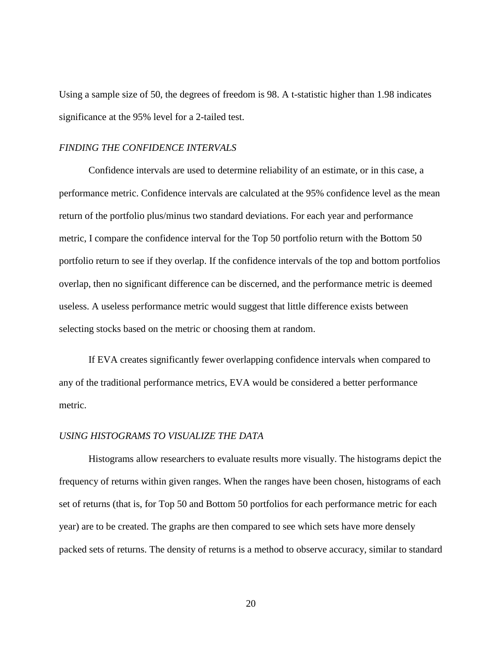Using a sample size of 50, the degrees of freedom is 98. A t-statistic higher than 1.98 indicates significance at the 95% level for a 2-tailed test.

#### <span id="page-25-0"></span>*FINDING THE CONFIDENCE INTERVALS*

Confidence intervals are used to determine reliability of an estimate, or in this case, a performance metric. Confidence intervals are calculated at the 95% confidence level as the mean return of the portfolio plus/minus two standard deviations. For each year and performance metric, I compare the confidence interval for the Top 50 portfolio return with the Bottom 50 portfolio return to see if they overlap. If the confidence intervals of the top and bottom portfolios overlap, then no significant difference can be discerned, and the performance metric is deemed useless. A useless performance metric would suggest that little difference exists between selecting stocks based on the metric or choosing them at random.

If EVA creates significantly fewer overlapping confidence intervals when compared to any of the traditional performance metrics, EVA would be considered a better performance metric.

#### <span id="page-25-1"></span>*USING HISTOGRAMS TO VISUALIZE THE DATA*

Histograms allow researchers to evaluate results more visually. The histograms depict the frequency of returns within given ranges. When the ranges have been chosen, histograms of each set of returns (that is, for Top 50 and Bottom 50 portfolios for each performance metric for each year) are to be created. The graphs are then compared to see which sets have more densely packed sets of returns. The density of returns is a method to observe accuracy, similar to standard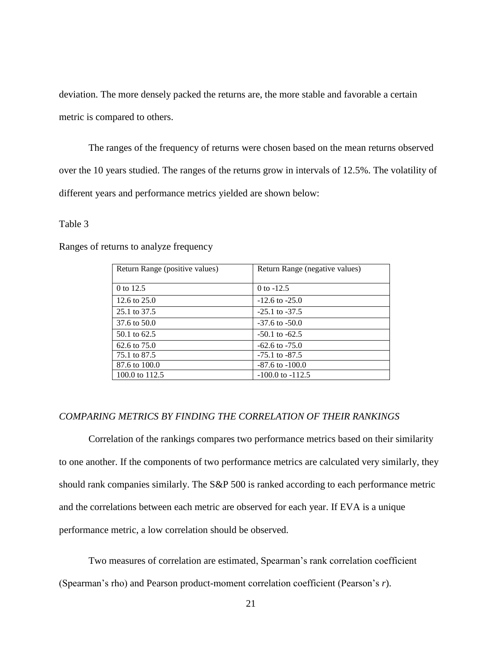deviation. The more densely packed the returns are, the more stable and favorable a certain metric is compared to others.

The ranges of the frequency of returns were chosen based on the mean returns observed over the 10 years studied. The ranges of the returns grow in intervals of 12.5%. The volatility of different years and performance metrics yielded are shown below:

#### Table 3

|  |  | Ranges of returns to analyze frequency |  |
|--|--|----------------------------------------|--|
|  |  |                                        |  |

| Return Range (positive values) | Return Range (negative values) |
|--------------------------------|--------------------------------|
|                                |                                |
| 0 to 12.5                      | 0 to $-12.5$                   |
| 12.6 to 25.0                   | $-12.6$ to $-25.0$             |
| 25.1 to 37.5                   | $-25.1$ to $-37.5$             |
| 37.6 to 50.0                   | $-37.6$ to $-50.0$             |
| 50.1 to 62.5                   | $-50.1$ to $-62.5$             |
| 62.6 to 75.0                   | $-62.6$ to $-75.0$             |
| 75.1 to 87.5                   | $-75.1$ to $-87.5$             |
| 87.6 to 100.0                  | $-87.6$ to $-100.0$            |
| 100.0 to 112.5                 | $-100.0$ to $-112.5$           |

#### <span id="page-26-0"></span>*COMPARING METRICS BY FINDING THE CORRELATION OF THEIR RANKINGS*

Correlation of the rankings compares two performance metrics based on their similarity to one another. If the components of two performance metrics are calculated very similarly, they should rank companies similarly. The S&P 500 is ranked according to each performance metric and the correlations between each metric are observed for each year. If EVA is a unique performance metric, a low correlation should be observed.

Two measures of correlation are estimated, Spearman's rank correlation coefficient (Spearman's rho) and Pearson product-moment correlation coefficient (Pearson's *r*).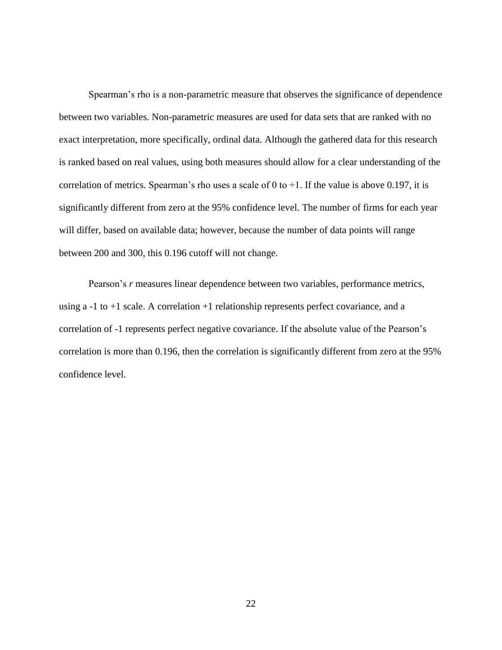Spearman's rho is a non-parametric measure that observes the significance of dependence between two variables. Non-parametric measures are used for data sets that are ranked with no exact interpretation, more specifically, ordinal data. Although the gathered data for this research is ranked based on real values, using both measures should allow for a clear understanding of the correlation of metrics. Spearman's rho uses a scale of 0 to  $+1$ . If the value is above 0.197, it is significantly different from zero at the 95% confidence level. The number of firms for each year will differ, based on available data; however, because the number of data points will range between 200 and 300, this 0.196 cutoff will not change.

Pearson's *r* measures linear dependence between two variables, performance metrics, using a -1 to +1 scale. A correlation +1 relationship represents perfect covariance, and a correlation of -1 represents perfect negative covariance. If the absolute value of the Pearson's correlation is more than 0.196, then the correlation is significantly different from zero at the 95% confidence level.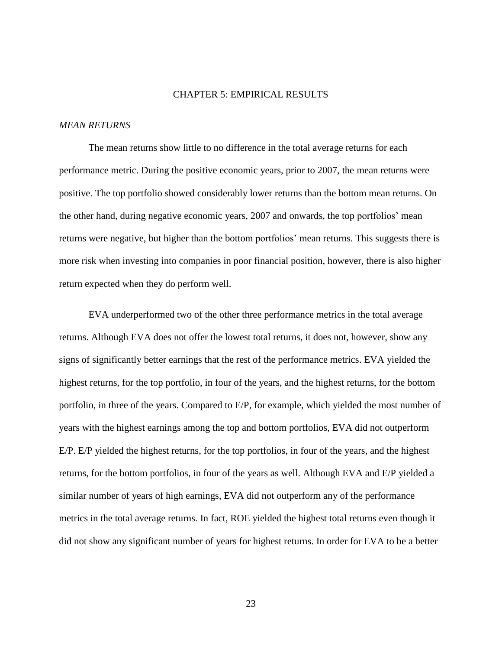#### CHAPTER 5: EMPIRICAL RESULTS

#### <span id="page-28-1"></span><span id="page-28-0"></span>*MEAN RETURNS*

The mean returns show little to no difference in the total average returns for each performance metric. During the positive economic years, prior to 2007, the mean returns were positive. The top portfolio showed considerably lower returns than the bottom mean returns. On the other hand, during negative economic years, 2007 and onwards, the top portfolios' mean returns were negative, but higher than the bottom portfolios' mean returns. This suggests there is more risk when investing into companies in poor financial position, however, there is also higher return expected when they do perform well.

EVA underperformed two of the other three performance metrics in the total average returns. Although EVA does not offer the lowest total returns, it does not, however, show any signs of significantly better earnings that the rest of the performance metrics. EVA yielded the highest returns, for the top portfolio, in four of the years, and the highest returns, for the bottom portfolio, in three of the years. Compared to E/P, for example, which yielded the most number of years with the highest earnings among the top and bottom portfolios, EVA did not outperform E/P. E/P yielded the highest returns, for the top portfolios, in four of the years, and the highest returns, for the bottom portfolios, in four of the years as well. Although EVA and E/P yielded a similar number of years of high earnings, EVA did not outperform any of the performance metrics in the total average returns. In fact, ROE yielded the highest total returns even though it did not show any significant number of years for highest returns. In order for EVA to be a better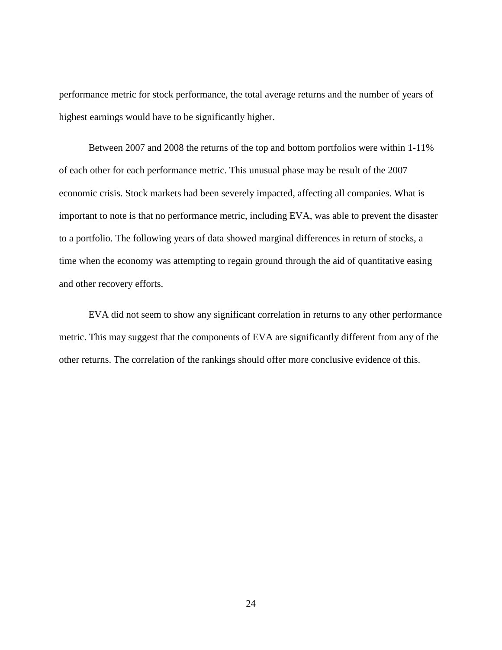performance metric for stock performance, the total average returns and the number of years of highest earnings would have to be significantly higher.

Between 2007 and 2008 the returns of the top and bottom portfolios were within 1-11% of each other for each performance metric. This unusual phase may be result of the 2007 economic crisis. Stock markets had been severely impacted, affecting all companies. What is important to note is that no performance metric, including EVA, was able to prevent the disaster to a portfolio. The following years of data showed marginal differences in return of stocks, a time when the economy was attempting to regain ground through the aid of quantitative easing and other recovery efforts.

EVA did not seem to show any significant correlation in returns to any other performance metric. This may suggest that the components of EVA are significantly different from any of the other returns. The correlation of the rankings should offer more conclusive evidence of this.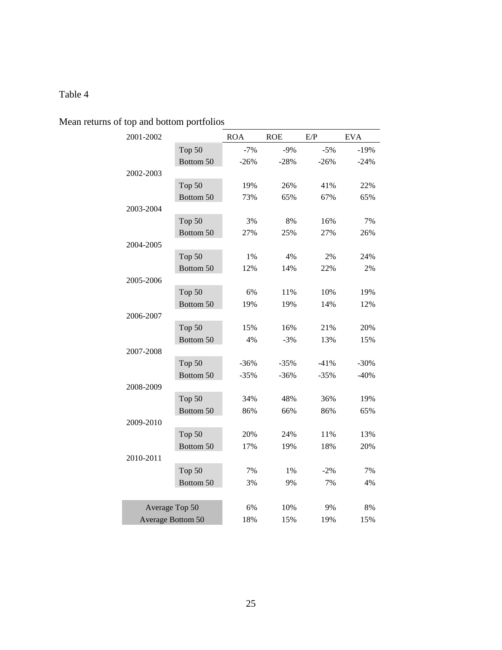# Table 4

| 2001-2002 |                          | <b>ROA</b> | <b>ROE</b> | E/P    | <b>EVA</b> |
|-----------|--------------------------|------------|------------|--------|------------|
|           | Top 50                   | $-7%$      | $-9%$      | $-5%$  | $-19%$     |
|           | Bottom 50                | $-26%$     | $-28%$     | $-26%$ | $-24%$     |
| 2002-2003 |                          |            |            |        |            |
|           | Top 50                   | 19%        | 26%        | 41%    | 22%        |
|           | Bottom 50                | 73%        | 65%        | 67%    | 65%        |
| 2003-2004 |                          |            |            |        |            |
|           | Top 50                   | 3%         | 8%         | 16%    | 7%         |
|           | Bottom 50                | 27%        | 25%        | 27%    | 26%        |
| 2004-2005 |                          |            |            |        |            |
|           | Top 50                   | 1%         | 4%         | 2%     | 24%        |
|           | Bottom 50                | 12%        | 14%        | 22%    | 2%         |
| 2005-2006 |                          |            |            |        |            |
|           | Top 50                   | 6%         | 11%        | 10%    | 19%        |
|           | Bottom 50                | 19%        | 19%        | 14%    | 12%        |
| 2006-2007 |                          |            |            |        |            |
|           | Top 50                   | 15%        | 16%        | 21%    | 20%        |
|           | Bottom 50                | 4%         | $-3%$      | 13%    | 15%        |
| 2007-2008 |                          |            |            |        |            |
|           | Top 50                   | $-36%$     | $-35%$     | $-41%$ | $-30%$     |
|           | Bottom 50                | $-35%$     | $-36%$     | $-35%$ | $-40%$     |
| 2008-2009 |                          |            |            |        |            |
|           | Top 50                   | 34%        | 48%        | 36%    | 19%        |
|           | Bottom 50                | 86%        | 66%        | 86%    | 65%        |
| 2009-2010 |                          |            |            |        |            |
|           | Top 50                   | 20%        | 24%        | 11%    | 13%        |
|           | Bottom 50                | 17%        | 19%        | 18%    | 20%        |
| 2010-2011 |                          |            |            |        |            |
|           | Top 50                   | 7%         | 1%         | $-2%$  | 7%         |
|           | Bottom 50                | 3%         | 9%         | 7%     | 4%         |
|           |                          |            |            |        |            |
|           | Average Top 50           | 6%         | 10%        | 9%     | 8%         |
|           | <b>Average Bottom 50</b> | 18%        | 15%        | 19%    | 15%        |

Mean returns of top and bottom portfolios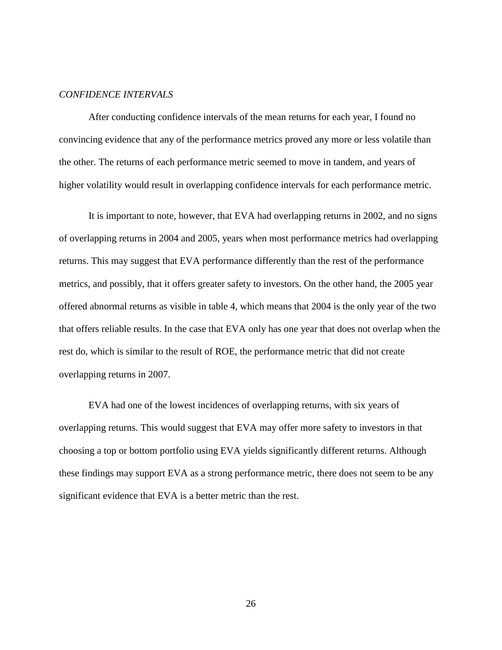#### <span id="page-31-0"></span>*CONFIDENCE INTERVALS*

After conducting confidence intervals of the mean returns for each year, I found no convincing evidence that any of the performance metrics proved any more or less volatile than the other. The returns of each performance metric seemed to move in tandem, and years of higher volatility would result in overlapping confidence intervals for each performance metric.

It is important to note, however, that EVA had overlapping returns in 2002, and no signs of overlapping returns in 2004 and 2005, years when most performance metrics had overlapping returns. This may suggest that EVA performance differently than the rest of the performance metrics, and possibly, that it offers greater safety to investors. On the other hand, the 2005 year offered abnormal returns as visible in table 4, which means that 2004 is the only year of the two that offers reliable results. In the case that EVA only has one year that does not overlap when the rest do, which is similar to the result of ROE, the performance metric that did not create overlapping returns in 2007.

EVA had one of the lowest incidences of overlapping returns, with six years of overlapping returns. This would suggest that EVA may offer more safety to investors in that choosing a top or bottom portfolio using EVA yields significantly different returns. Although these findings may support EVA as a strong performance metric, there does not seem to be any significant evidence that EVA is a better metric than the rest.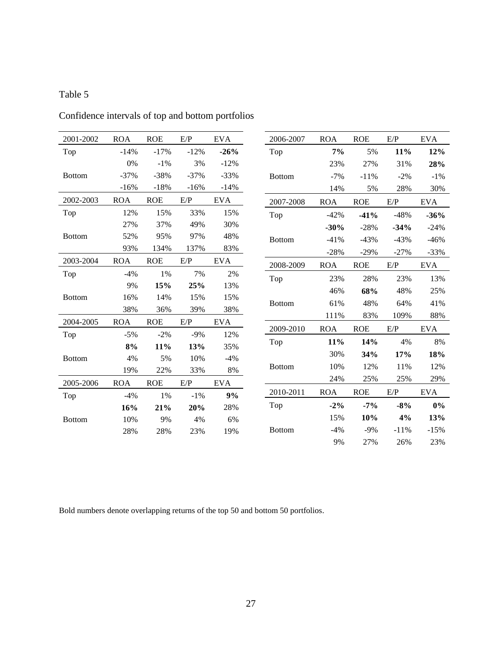# Table 5

| 2001-2002     | <b>ROA</b> | <b>ROE</b> | E/P    | <b>EVA</b> | 2006-2007     | ROA        | <b>ROE</b> | E/P    | <b>EVA</b> |
|---------------|------------|------------|--------|------------|---------------|------------|------------|--------|------------|
| Top           | $-14%$     | $-17%$     | $-12%$ | $-26%$     | Top           | 7%         | 5%         | 11%    | 12%        |
|               | 0%         | $-1\%$     | 3%     | $-12%$     |               | 23%        | 27%        | 31%    | 28%        |
| <b>Bottom</b> | $-37%$     | $-38%$     | $-37%$ | $-33%$     | <b>Bottom</b> | $-7%$      | $-11%$     | $-2\%$ | $-1\%$     |
|               | $-16%$     | $-18%$     | $-16%$ | $-14%$     |               | 14%        | 5%         | 28%    | 30%        |
| 2002-2003     | <b>ROA</b> | <b>ROE</b> | E/P    | <b>EVA</b> | 2007-2008     | <b>ROA</b> | <b>ROE</b> | E/P    | <b>EVA</b> |
| Top           | 12%        | 15%        | 33%    | 15%        | Top           | $-42%$     | $-41%$     | $-48%$ | $-36%$     |
|               | 27%        | 37%        | 49%    | 30%        |               | $-30%$     | $-28%$     | $-34%$ | $-24%$     |
| <b>Bottom</b> | 52%        | 95%        | 97%    | 48%        | <b>Bottom</b> | $-41%$     | $-43%$     | $-43%$ | $-46%$     |
|               | 93%        | 134%       | 137%   | 83%        |               | $-28%$     | $-29%$     | $-27%$ | $-33%$     |
| 2003-2004     | <b>ROA</b> | <b>ROE</b> | E/P    | <b>EVA</b> | 2008-2009     | <b>ROA</b> | <b>ROE</b> | E/P    | <b>EVA</b> |
| Top           | $-4%$      | 1%         | 7%     | 2%         | Top           | 23%        | 28%        | 23%    | 13%        |
|               | 9%         | 15%        | 25%    | 13%        |               | 46%        | 68%        | 48%    | 25%        |
| <b>Bottom</b> | 16%        | 14%        | 15%    | 15%        | <b>Bottom</b> | 61%        | 48%        | 64%    | 41%        |
|               | 38%        | 36%        | 39%    | 38%        |               | 111%       | 83%        | 109%   | 88%        |
| 2004-2005     | <b>ROA</b> | <b>ROE</b> | E/P    | <b>EVA</b> | 2009-2010     | <b>ROA</b> | <b>ROE</b> | E/P    | <b>EVA</b> |
| Top           | $-5\%$     | $-2\%$     | $-9%$  | 12%        | Top           | 11%        | 14%        | 4%     | 8%         |
|               | 8%         | 11%        | 13%    | 35%        |               | 30%        | 34%        | 17%    | 18%        |
| <b>Bottom</b> | 4%         | 5%         | 10%    | $-4%$      | <b>Bottom</b> | 10%        | 12%        | 11%    | 12%        |
|               | 19%        | 22%        | 33%    | $8\%$      |               |            |            |        |            |
| 2005-2006     | <b>ROA</b> | <b>ROE</b> | E/P    | <b>EVA</b> |               | 24%        | 25%        | 25%    | 29%        |
| Top           | $-4%$      | $1\%$      | $-1\%$ | 9%         | 2010-2011     | ROA        | <b>ROE</b> | E/P    | <b>EVA</b> |
|               | 16%        | 21%        | 20%    | 28%        | Top           | $-2\%$     | $-7%$      | $-8%$  | 0%         |
| <b>Bottom</b> | 10%        | 9%         | 4%     | 6%         |               | 15%        | 10%        | 4%     | 13%        |
|               | 28%        | 28%        | 23%    | 19%        | <b>Bottom</b> | $-4%$      | $-9%$      | $-11%$ | $-15%$     |
|               |            |            |        |            |               | 9%         | 27%        | 26%    | 23%        |

Confidence intervals of top and bottom portfolios

Bold numbers denote overlapping returns of the top 50 and bottom 50 portfolios.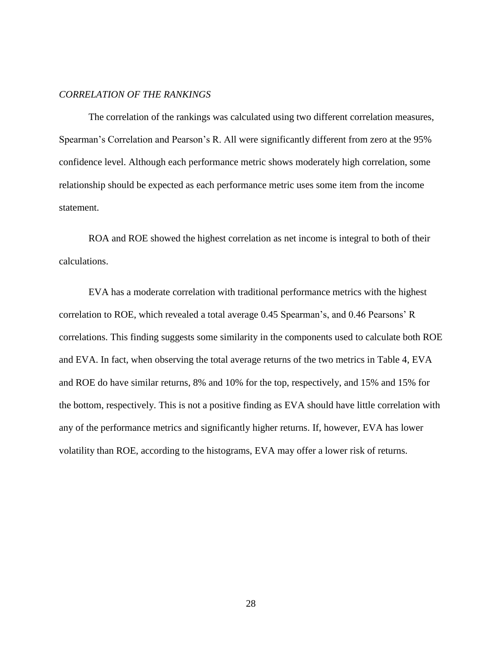#### <span id="page-33-0"></span>*CORRELATION OF THE RANKINGS*

The correlation of the rankings was calculated using two different correlation measures, Spearman's Correlation and Pearson's R. All were significantly different from zero at the 95% confidence level. Although each performance metric shows moderately high correlation, some relationship should be expected as each performance metric uses some item from the income statement.

ROA and ROE showed the highest correlation as net income is integral to both of their calculations.

EVA has a moderate correlation with traditional performance metrics with the highest correlation to ROE, which revealed a total average 0.45 Spearman's, and 0.46 Pearsons' R correlations. This finding suggests some similarity in the components used to calculate both ROE and EVA. In fact, when observing the total average returns of the two metrics in Table 4, EVA and ROE do have similar returns, 8% and 10% for the top, respectively, and 15% and 15% for the bottom, respectively. This is not a positive finding as EVA should have little correlation with any of the performance metrics and significantly higher returns. If, however, EVA has lower volatility than ROE, according to the histograms, EVA may offer a lower risk of returns.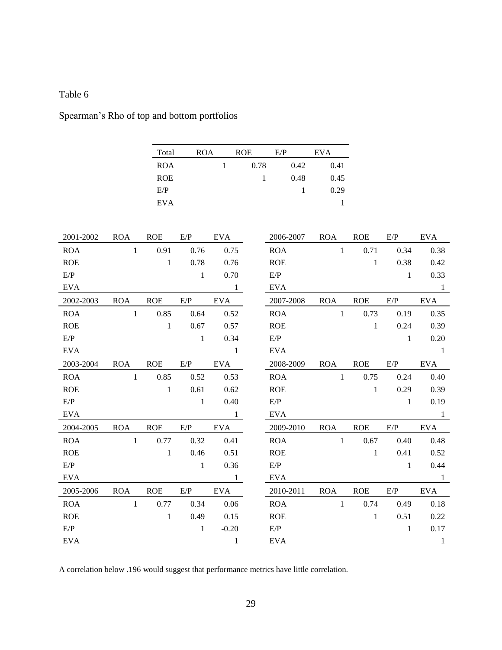# Table 6

# Spearman's Rho of top and bottom portfolios

|                                                                 |              | Total        | <b>ROA</b>   | <b>ROE</b>   |              | E/P                                                             | <b>EVA</b>   |              |              |              |
|-----------------------------------------------------------------|--------------|--------------|--------------|--------------|--------------|-----------------------------------------------------------------|--------------|--------------|--------------|--------------|
|                                                                 |              | <b>ROA</b>   |              | $\mathbf{1}$ | 0.78         | 0.42                                                            | 0.41         |              |              |              |
|                                                                 |              | <b>ROE</b>   |              |              | $\mathbf{1}$ | 0.48                                                            | 0.45         |              |              |              |
|                                                                 |              | E/P          |              |              |              | $\mathbf{1}$                                                    | 0.29         |              |              |              |
|                                                                 |              | <b>EVA</b>   |              |              |              |                                                                 | $\mathbf{1}$ |              |              |              |
|                                                                 |              |              |              |              |              |                                                                 |              |              |              |              |
| 2001-2002                                                       | <b>ROA</b>   | <b>ROE</b>   | E/P          | <b>EVA</b>   |              | 2006-2007                                                       | <b>ROA</b>   | <b>ROE</b>   | E/P          | <b>EVA</b>   |
| <b>ROA</b>                                                      | $\mathbf{1}$ | 0.91         | 0.76         | 0.75         |              | <b>ROA</b>                                                      | $\mathbf{1}$ | 0.71         | 0.34         | 0.38         |
| <b>ROE</b>                                                      |              | $\mathbf{1}$ | 0.78         | 0.76         |              | <b>ROE</b>                                                      |              | $\mathbf{1}$ | 0.38         | 0.42         |
| $\ensuremath{{\rm E}}\xspace/\ensuremath{{\rm P}}$              |              |              | $\mathbf{1}$ | 0.70         |              | $\ensuremath{\mathrm{E}}\xspace/\ensuremath{\mathrm{P}}\xspace$ |              |              | $\mathbf 1$  | 0.33         |
| <b>EVA</b>                                                      |              |              |              | $\mathbf{1}$ |              | <b>EVA</b>                                                      |              |              |              | $\mathbf{1}$ |
| 2002-2003                                                       | <b>ROA</b>   | <b>ROE</b>   | E/P          | <b>EVA</b>   |              | 2007-2008                                                       | <b>ROA</b>   | <b>ROE</b>   | E/P          | <b>EVA</b>   |
| <b>ROA</b>                                                      | $\mathbf{1}$ | 0.85         | 0.64         | 0.52         |              | <b>ROA</b>                                                      | $\mathbf{1}$ | 0.73         | 0.19         | 0.35         |
| <b>ROE</b>                                                      |              | $\mathbf{1}$ | 0.67         | 0.57         |              | <b>ROE</b>                                                      |              | $\mathbf{1}$ | 0.24         | 0.39         |
| $\ensuremath{\mathrm{E}}\xspace/\ensuremath{\mathrm{P}}\xspace$ |              |              | $\mathbf{1}$ | 0.34         |              | E/P                                                             |              |              | $\mathbf{1}$ | 0.20         |
| <b>EVA</b>                                                      |              |              |              | $\mathbf{1}$ |              | <b>EVA</b>                                                      |              |              |              | 1            |
| 2003-2004                                                       | <b>ROA</b>   | <b>ROE</b>   | E/P          | <b>EVA</b>   |              | 2008-2009                                                       | <b>ROA</b>   | <b>ROE</b>   | E/P          | <b>EVA</b>   |
| <b>ROA</b>                                                      | $\mathbf{1}$ | 0.85         | 0.52         | 0.53         |              | <b>ROA</b>                                                      | $\mathbf{1}$ | 0.75         | 0.24         | 0.40         |
| <b>ROE</b>                                                      |              | $\mathbf{1}$ | 0.61         | 0.62         |              | <b>ROE</b>                                                      |              | $\mathbf{1}$ | 0.29         | 0.39         |
| E/P                                                             |              |              | $\mathbf{1}$ | 0.40         |              | E/P                                                             |              |              | $\mathbf{1}$ | 0.19         |
| <b>EVA</b>                                                      |              |              |              | 1            |              | <b>EVA</b>                                                      |              |              |              | 1            |
| 2004-2005                                                       | <b>ROA</b>   | <b>ROE</b>   | E/P          | <b>EVA</b>   |              | 2009-2010                                                       | <b>ROA</b>   | <b>ROE</b>   | E/P          | <b>EVA</b>   |
| <b>ROA</b>                                                      | $\mathbf{1}$ | 0.77         | 0.32         | 0.41         |              | <b>ROA</b>                                                      | $\mathbf{1}$ | 0.67         | 0.40         | 0.48         |
| <b>ROE</b>                                                      |              | $\mathbf{1}$ | 0.46         | 0.51         |              | <b>ROE</b>                                                      |              | $\mathbf{1}$ | 0.41         | 0.52         |
| E/P                                                             |              |              | $\mathbf{1}$ | 0.36         |              | E/P                                                             |              |              | $\mathbf{1}$ | 0.44         |
| <b>EVA</b>                                                      |              |              |              | $\mathbf{1}$ |              | <b>EVA</b>                                                      |              |              |              | -1           |
| 2005-2006                                                       | <b>ROA</b>   | <b>ROE</b>   | E/P          | <b>EVA</b>   |              | 2010-2011                                                       | <b>ROA</b>   | <b>ROE</b>   | E/P          | <b>EVA</b>   |
| <b>ROA</b>                                                      | $\mathbf{1}$ | 0.77         | 0.34         | 0.06         |              | <b>ROA</b>                                                      | $\,1\,$      | 0.74         | 0.49         | 0.18         |
| <b>ROE</b>                                                      |              | $\mathbf{1}$ | 0.49         | 0.15         |              | <b>ROE</b>                                                      |              | $\mathbf{1}$ | 0.51         | 0.22         |
| $\ensuremath{\mathrm{E}}\xspace/\ensuremath{\mathrm{P}}\xspace$ |              |              | $\mathbf{1}$ | $-0.20$      |              | $\ensuremath{\mathrm{E}}\xspace/\ensuremath{\mathrm{P}}\xspace$ |              |              | $\mathbf{1}$ | 0.17         |
| <b>EVA</b>                                                      |              |              |              | 1            |              | <b>EVA</b>                                                      |              |              |              | 1            |

A correlation below .196 would suggest that performance metrics have little correlation.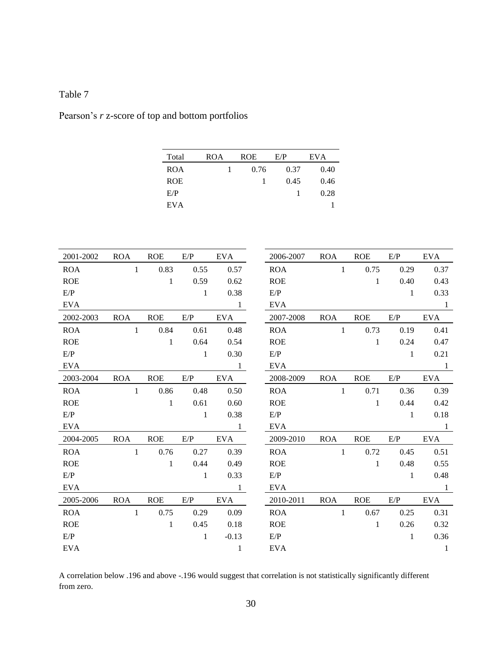## Table 7

# Pearson's *r* z-score of top and bottom portfolios

| Total      | ROA | <b>ROE</b> | E/P  | EVA  |
|------------|-----|------------|------|------|
| <b>ROA</b> |     | 0.76       | 0.37 | 0.40 |
| <b>ROE</b> |     |            | 0.45 | 0.46 |
| E/P        |     |            |      | 0.28 |
| EVA        |     |            |      |      |

| 2001-2002  | <b>ROA</b>   | <b>ROE</b>   | E/P          | <b>EVA</b>   | 2006-2007  | <b>ROA</b>   | <b>ROE</b>   | E/P          | <b>EVA</b>   |
|------------|--------------|--------------|--------------|--------------|------------|--------------|--------------|--------------|--------------|
| <b>ROA</b> | $\mathbf{1}$ | 0.83         | 0.55         | 0.57         | <b>ROA</b> | $\mathbf{1}$ | 0.75         | 0.29         | 0.37         |
| <b>ROE</b> |              | $\mathbf{1}$ | 0.59         | 0.62         | <b>ROE</b> |              | $\mathbf{1}$ | 0.40         | 0.43         |
| E/P        |              |              | $\mathbf{1}$ | 0.38         | E/P        |              |              | $\mathbf{1}$ | 0.33         |
| <b>EVA</b> |              |              |              | $\mathbf{1}$ | <b>EVA</b> |              |              |              | $\mathbf{1}$ |
| 2002-2003  | <b>ROA</b>   | <b>ROE</b>   | E/P          | EVA          | 2007-2008  | <b>ROA</b>   | <b>ROE</b>   | E/P          | EVA          |
| <b>ROA</b> | $\mathbf{1}$ | 0.84         | 0.61         | 0.48         | <b>ROA</b> | $\mathbf{1}$ | 0.73         | 0.19         | 0.41         |
| <b>ROE</b> |              | $\mathbf{1}$ | 0.64         | 0.54         | <b>ROE</b> |              | $\mathbf{1}$ | 0.24         | 0.47         |
| E/P        |              |              | $\mathbf{1}$ | 0.30         | E/P        |              |              | $\mathbf{1}$ | 0.21         |
| <b>EVA</b> |              |              |              | $\mathbf{1}$ | <b>EVA</b> |              |              |              | -1           |
| 2003-2004  | <b>ROA</b>   | <b>ROE</b>   | E/P          | <b>EVA</b>   | 2008-2009  | <b>ROA</b>   | <b>ROE</b>   | E/P          | <b>EVA</b>   |
| <b>ROA</b> | $\mathbf{1}$ | 0.86         | 0.48         | 0.50         | <b>ROA</b> | $\mathbf{1}$ | 0.71         | 0.36         | 0.39         |
| <b>ROE</b> |              | $\mathbf{1}$ | 0.61         | 0.60         | <b>ROE</b> |              | $\mathbf{1}$ | 0.44         | 0.42         |
| E/P        |              |              | $\mathbf{1}$ | 0.38         | E/P        |              |              | $\mathbf{1}$ | 0.18         |
| <b>EVA</b> |              |              |              | $\mathbf{1}$ | <b>EVA</b> |              |              |              | $\mathbf{1}$ |
| 2004-2005  | <b>ROA</b>   | <b>ROE</b>   | E/P          | <b>EVA</b>   | 2009-2010  | <b>ROA</b>   | <b>ROE</b>   | E/P          | EVA          |
| <b>ROA</b> | $\mathbf{1}$ | 0.76         | 0.27         | 0.39         | <b>ROA</b> | $\mathbf{1}$ | 0.72         | 0.45         | 0.51         |
| <b>ROE</b> |              | $\mathbf{1}$ | 0.44         | 0.49         | <b>ROE</b> |              | $\mathbf{1}$ | 0.48         | 0.55         |
| E/P        |              |              | $\mathbf{1}$ | 0.33         | E/P        |              |              | $\mathbf{1}$ | 0.48         |
| <b>EVA</b> |              |              |              | -1           | <b>EVA</b> |              |              |              | -1           |
| 2005-2006  | <b>ROA</b>   | <b>ROE</b>   | E/P          | <b>EVA</b>   | 2010-2011  | <b>ROA</b>   | <b>ROE</b>   | E/P          | <b>EVA</b>   |
| <b>ROA</b> | $\mathbf{1}$ | 0.75         | 0.29         | 0.09         | <b>ROA</b> | $\mathbf{1}$ | 0.67         | 0.25         | 0.31         |
| <b>ROE</b> |              | $\mathbf{1}$ | 0.45         | 0.18         | <b>ROE</b> |              | $\mathbf{1}$ | $0.26\,$     | 0.32         |
| E/P        |              |              | $\mathbf{1}$ | $-0.13$      | E/P        |              |              | $\mathbf{1}$ | 0.36         |
| <b>EVA</b> |              |              |              | $\mathbf{1}$ | <b>EVA</b> |              |              |              | $\mathbf{1}$ |

A correlation below .196 and above -.196 would suggest that correlation is not statistically significantly different from zero.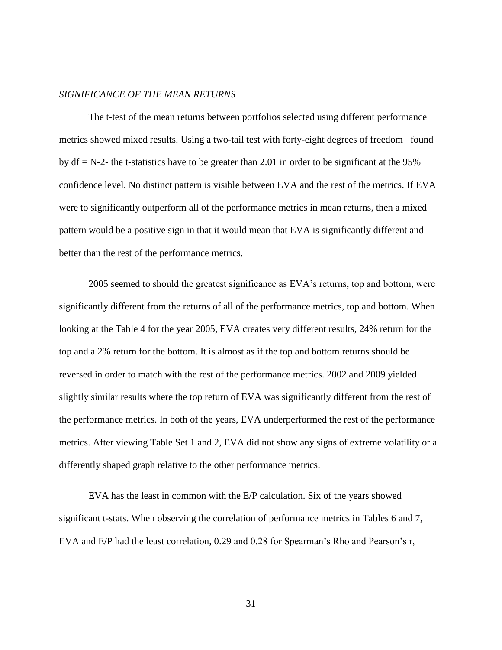#### <span id="page-36-0"></span>*SIGNIFICANCE OF THE MEAN RETURNS*

The t-test of the mean returns between portfolios selected using different performance metrics showed mixed results. Using a two-tail test with forty-eight degrees of freedom –found by  $df = N-2$ - the t-statistics have to be greater than 2.01 in order to be significant at the 95% confidence level. No distinct pattern is visible between EVA and the rest of the metrics. If EVA were to significantly outperform all of the performance metrics in mean returns, then a mixed pattern would be a positive sign in that it would mean that EVA is significantly different and better than the rest of the performance metrics.

2005 seemed to should the greatest significance as EVA's returns, top and bottom, were significantly different from the returns of all of the performance metrics, top and bottom. When looking at the Table 4 for the year 2005, EVA creates very different results, 24% return for the top and a 2% return for the bottom. It is almost as if the top and bottom returns should be reversed in order to match with the rest of the performance metrics. 2002 and 2009 yielded slightly similar results where the top return of EVA was significantly different from the rest of the performance metrics. In both of the years, EVA underperformed the rest of the performance metrics. After viewing Table Set 1 and 2, EVA did not show any signs of extreme volatility or a differently shaped graph relative to the other performance metrics.

EVA has the least in common with the E/P calculation. Six of the years showed significant t-stats. When observing the correlation of performance metrics in Tables 6 and 7, EVA and E/P had the least correlation, 0.29 and 0.28 for Spearman's Rho and Pearson's r,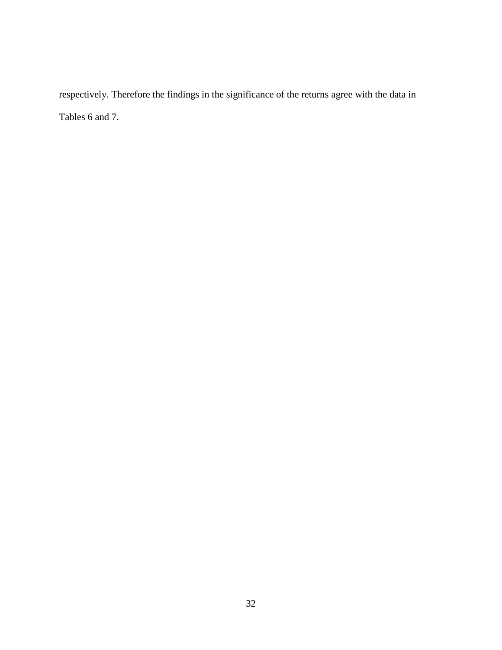respectively. Therefore the findings in the significance of the returns agree with the data in Tables 6 and 7.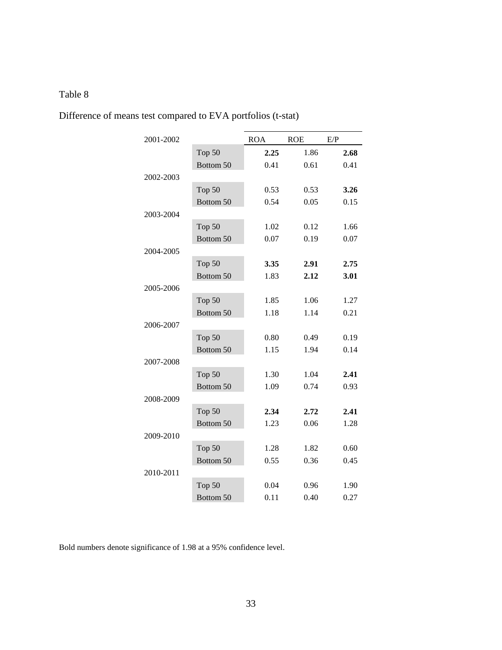# Table 8

| 2001-2002 |                      | <b>ROA</b> | <b>ROE</b> | E/P  |
|-----------|----------------------|------------|------------|------|
|           | Top 50               | 2.25       | 1.86       | 2.68 |
|           | Bottom 50            | 0.41       | 0.61       | 0.41 |
| 2002-2003 |                      |            |            |      |
|           | Top 50               | 0.53       | 0.53       | 3.26 |
|           | Bottom 50            | 0.54       | 0.05       | 0.15 |
| 2003-2004 |                      |            |            |      |
|           | Top 50               | 1.02       | 0.12       | 1.66 |
|           | Bottom 50            | 0.07       | 0.19       | 0.07 |
| 2004-2005 |                      |            |            |      |
|           | Top 50               | 3.35       | 2.91       | 2.75 |
|           | Bottom 50            | 1.83       | 2.12       | 3.01 |
| 2005-2006 |                      |            |            |      |
|           | Top 50               | 1.85       | 1.06       | 1.27 |
|           | Bottom 50            | 1.18       | 1.14       | 0.21 |
| 2006-2007 |                      |            |            |      |
|           | Top 50               | 0.80       | 0.49       | 0.19 |
|           | Bottom 50            | 1.15       | 1.94       | 0.14 |
| 2007-2008 |                      |            |            |      |
|           | Top 50               | 1.30       | 1.04       | 2.41 |
|           | Bottom 50            | 1.09       | 0.74       | 0.93 |
| 2008-2009 |                      |            |            |      |
|           | Top 50               | 2.34       | 2.72       | 2.41 |
|           | Bottom 50            | 1.23       | 0.06       | 1.28 |
| 2009-2010 |                      |            |            |      |
|           | Top 50               | 1.28       | 1.82       | 0.60 |
|           | Bottom 50            | 0.55       | 0.36       | 0.45 |
| 2010-2011 |                      |            |            |      |
|           | Top 50               | 0.04       | 0.96       | 1.90 |
|           | Bottom <sub>50</sub> | 0.11       | 0.40       | 0.27 |

Difference of means test compared to EVA portfolios (t-stat)

Bold numbers denote significance of 1.98 at a 95% confidence level.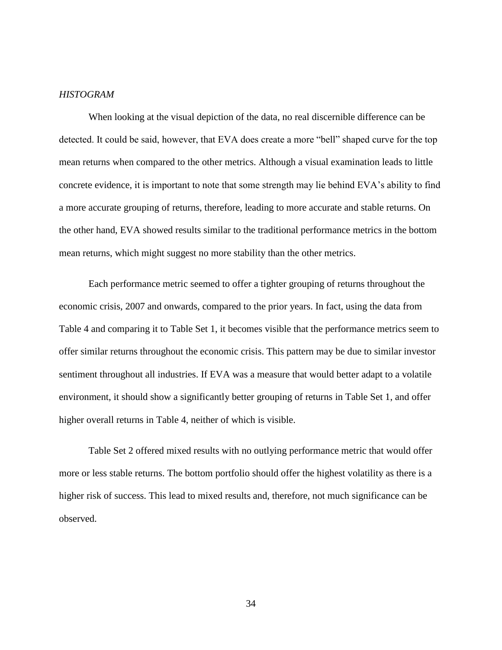#### <span id="page-39-0"></span>*HISTOGRAM*

When looking at the visual depiction of the data, no real discernible difference can be detected. It could be said, however, that EVA does create a more "bell" shaped curve for the top mean returns when compared to the other metrics. Although a visual examination leads to little concrete evidence, it is important to note that some strength may lie behind EVA's ability to find a more accurate grouping of returns, therefore, leading to more accurate and stable returns. On the other hand, EVA showed results similar to the traditional performance metrics in the bottom mean returns, which might suggest no more stability than the other metrics.

Each performance metric seemed to offer a tighter grouping of returns throughout the economic crisis, 2007 and onwards, compared to the prior years. In fact, using the data from Table 4 and comparing it to Table Set 1, it becomes visible that the performance metrics seem to offer similar returns throughout the economic crisis. This pattern may be due to similar investor sentiment throughout all industries. If EVA was a measure that would better adapt to a volatile environment, it should show a significantly better grouping of returns in Table Set 1, and offer higher overall returns in Table 4, neither of which is visible.

Table Set 2 offered mixed results with no outlying performance metric that would offer more or less stable returns. The bottom portfolio should offer the highest volatility as there is a higher risk of success. This lead to mixed results and, therefore, not much significance can be observed.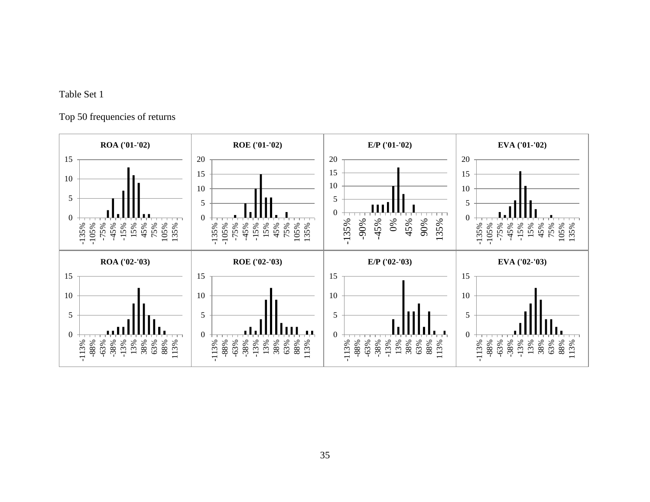## Table Set 1

# Top 50 frequencies of returns

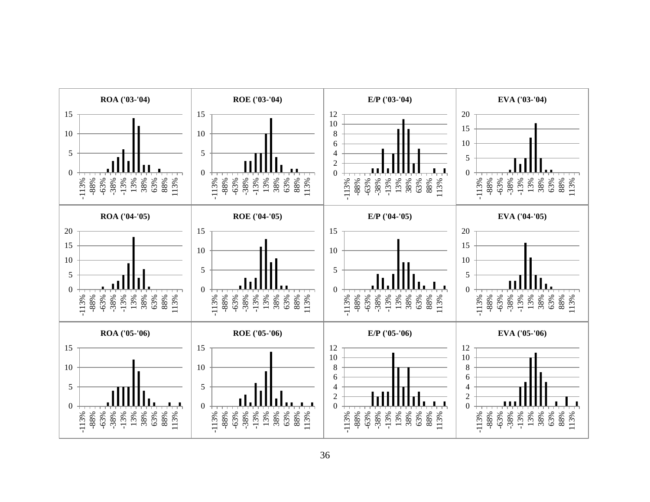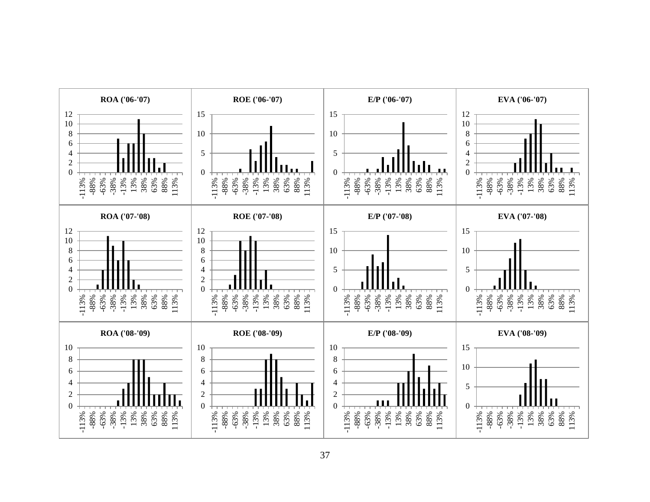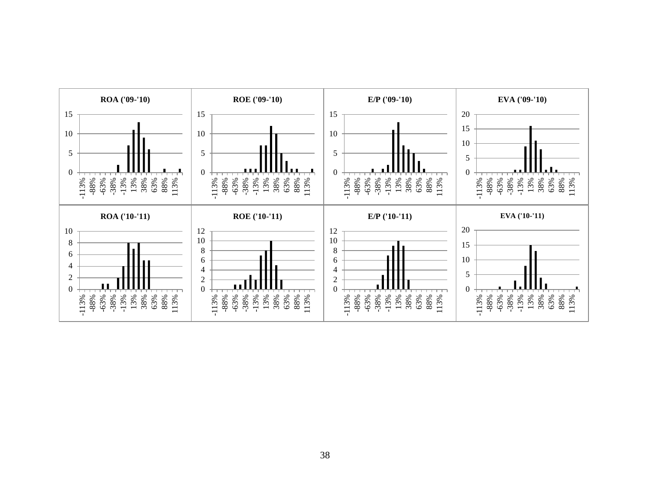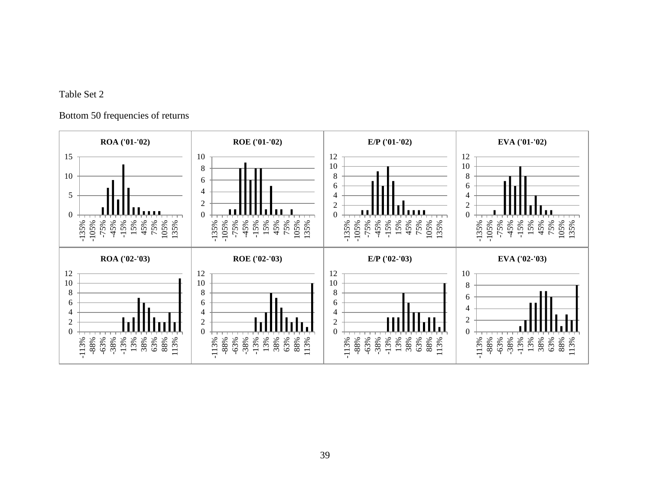## Table Set 2

# Bottom 50 frequencies of returns

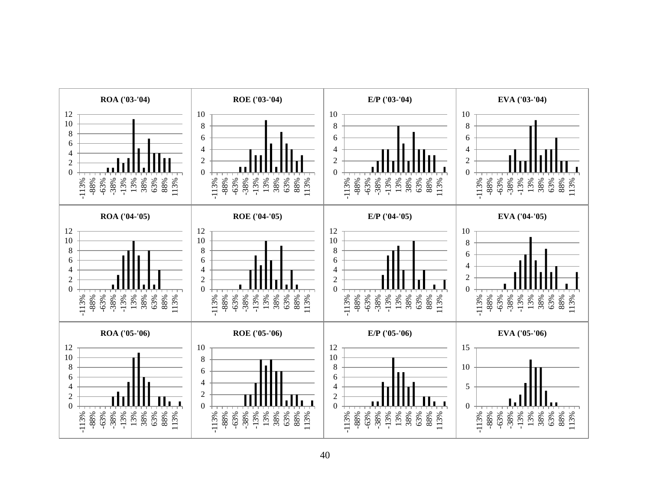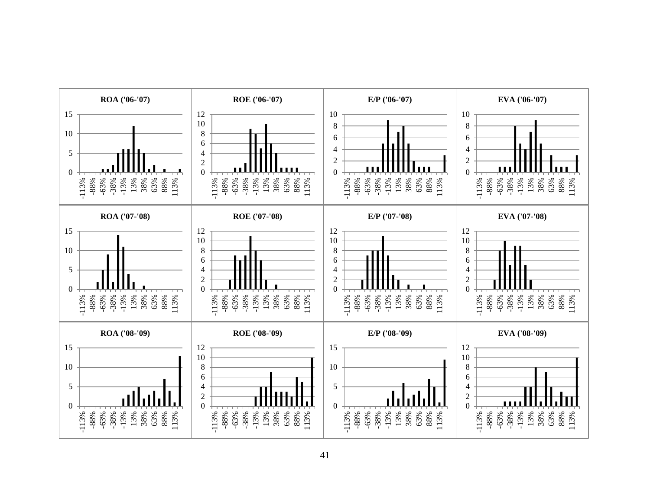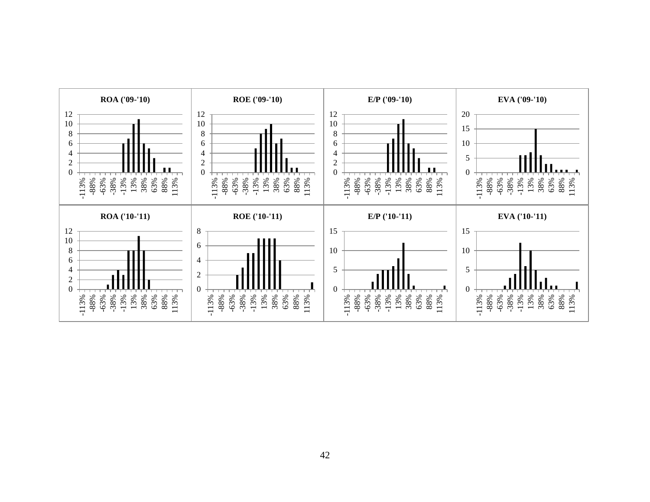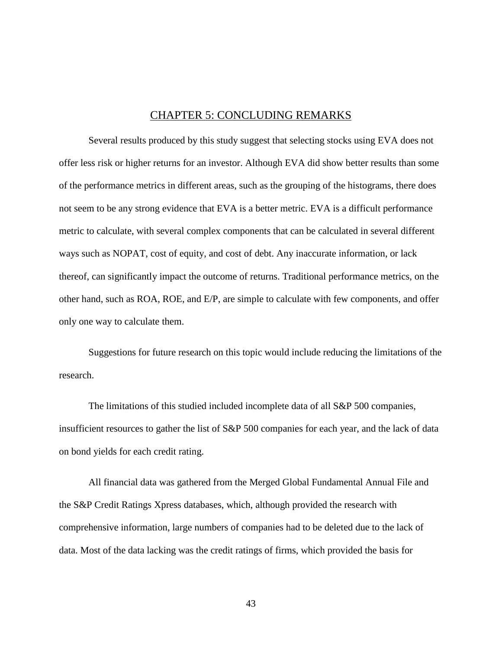#### CHAPTER 5: CONCLUDING REMARKS

<span id="page-48-0"></span>Several results produced by this study suggest that selecting stocks using EVA does not offer less risk or higher returns for an investor. Although EVA did show better results than some of the performance metrics in different areas, such as the grouping of the histograms, there does not seem to be any strong evidence that EVA is a better metric. EVA is a difficult performance metric to calculate, with several complex components that can be calculated in several different ways such as NOPAT, cost of equity, and cost of debt. Any inaccurate information, or lack thereof, can significantly impact the outcome of returns. Traditional performance metrics, on the other hand, such as ROA, ROE, and E/P, are simple to calculate with few components, and offer only one way to calculate them.

Suggestions for future research on this topic would include reducing the limitations of the research.

The limitations of this studied included incomplete data of all S&P 500 companies, insufficient resources to gather the list of S&P 500 companies for each year, and the lack of data on bond yields for each credit rating.

All financial data was gathered from the Merged Global Fundamental Annual File and the S&P Credit Ratings Xpress databases, which, although provided the research with comprehensive information, large numbers of companies had to be deleted due to the lack of data. Most of the data lacking was the credit ratings of firms, which provided the basis for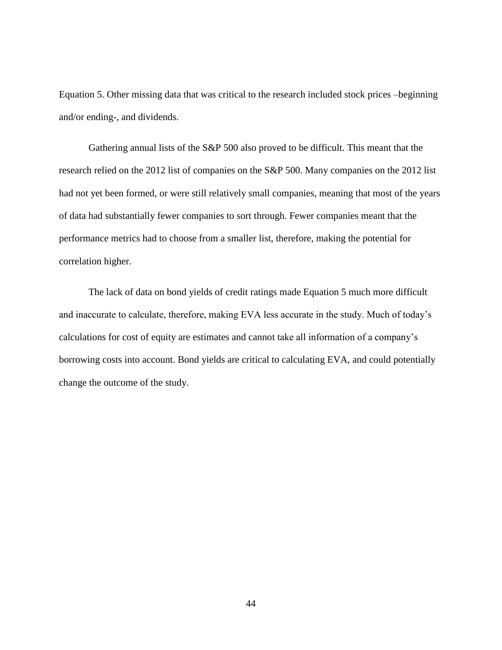Equation 5. Other missing data that was critical to the research included stock prices –beginning and/or ending-, and dividends.

Gathering annual lists of the S&P 500 also proved to be difficult. This meant that the research relied on the 2012 list of companies on the S&P 500. Many companies on the 2012 list had not yet been formed, or were still relatively small companies, meaning that most of the years of data had substantially fewer companies to sort through. Fewer companies meant that the performance metrics had to choose from a smaller list, therefore, making the potential for correlation higher.

The lack of data on bond yields of credit ratings made Equation 5 much more difficult and inaccurate to calculate, therefore, making EVA less accurate in the study. Much of today's calculations for cost of equity are estimates and cannot take all information of a company's borrowing costs into account. Bond yields are critical to calculating EVA, and could potentially change the outcome of the study.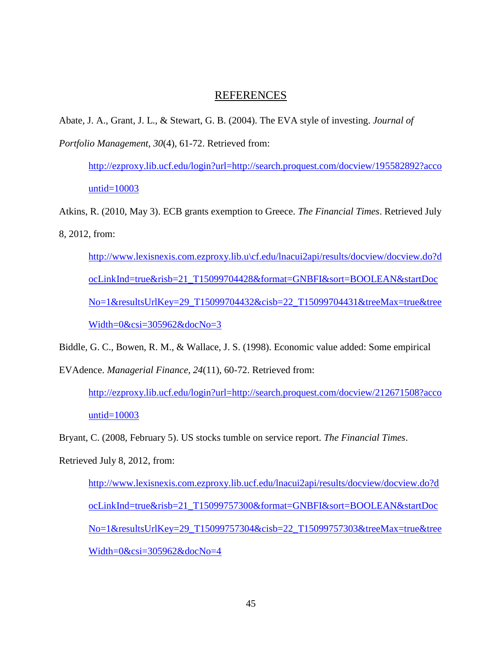## REFERENCES

<span id="page-50-0"></span>Abate, J. A., Grant, J. L., & Stewart, G. B. (2004). The EVA style of investing. *Journal of Portfolio Management, 30*(4), 61-72. Retrieved from:

[http://ezproxy.lib.ucf.edu/login?url=http://search.proquest.com/docview/195582892?acco](http://ezproxy.lib.ucf.edu/login?url=http://search.proquest.com/docview/195582892?accountid=10003) untid= $10003$ 

Atkins, R. (2010, May 3). ECB grants exemption to Greece. *The Financial Times*. Retrieved July 8, 2012, from:

[http://www.lexisnexis.com.ezproxy.lib.u\cf.edu/lnacui2api/results/docview/docview.do?d](http://www.lexisnexis.com.ezproxy.lib.u/cf.edu/lnacui2api/results/docview/docview.do?docLinkInd=true&risb=21_T15099704428&format=GNBFI&sort=BOOLEAN&startDocNo=1&resultsUrlKey=29_T15099704432&cisb=22_T15099704431&treeMax=true&treeWidth=0&csi=305962&docNo=3) [ocLinkInd=true&risb=21\\_T15099704428&format=GNBFI&sort=BOOLEAN&startDoc](http://www.lexisnexis.com.ezproxy.lib.u/cf.edu/lnacui2api/results/docview/docview.do?docLinkInd=true&risb=21_T15099704428&format=GNBFI&sort=BOOLEAN&startDocNo=1&resultsUrlKey=29_T15099704432&cisb=22_T15099704431&treeMax=true&treeWidth=0&csi=305962&docNo=3) [No=1&resultsUrlKey=29\\_T15099704432&cisb=22\\_T15099704431&treeMax=true&tree](http://www.lexisnexis.com.ezproxy.lib.u/cf.edu/lnacui2api/results/docview/docview.do?docLinkInd=true&risb=21_T15099704428&format=GNBFI&sort=BOOLEAN&startDocNo=1&resultsUrlKey=29_T15099704432&cisb=22_T15099704431&treeMax=true&treeWidth=0&csi=305962&docNo=3)  $Width=0$ &csi=305962&docNo=3

Biddle, G. C., Bowen, R. M., & Wallace, J. S. (1998). Economic value added: Some empirical EVAdence. *Managerial Finance, 24*(11), 60-72. Retrieved from:

[http://ezproxy.lib.ucf.edu/login?url=http://search.proquest.com/docview/212671508?acco](http://ezproxy.lib.ucf.edu/login?url=http://search.proquest.com/docview/212671508?accountid=10003) [untid=10003](http://ezproxy.lib.ucf.edu/login?url=http://search.proquest.com/docview/212671508?accountid=10003)

Bryant, C. (2008, February 5). US stocks tumble on service report. *The Financial Times*.

Retrieved July 8, 2012, from:

[http://www.lexisnexis.com.ezproxy.lib.ucf.edu/lnacui2api/results/docview/docview.do?d](http://www.lexisnexis.com.ezproxy.lib.ucf.edu/lnacui2api/results/docview/docview.do?docLinkInd=true&risb=21_T15099757300&format=GNBFI&sort=BOOLEAN&startDocNo=1&resultsUrlKey=29_T15099757304&cisb=22_T15099757303&treeMax=true&treeWidth=0&csi=305962&docNo=4) [ocLinkInd=true&risb=21\\_T15099757300&format=GNBFI&sort=BOOLEAN&startDoc](http://www.lexisnexis.com.ezproxy.lib.ucf.edu/lnacui2api/results/docview/docview.do?docLinkInd=true&risb=21_T15099757300&format=GNBFI&sort=BOOLEAN&startDocNo=1&resultsUrlKey=29_T15099757304&cisb=22_T15099757303&treeMax=true&treeWidth=0&csi=305962&docNo=4) [No=1&resultsUrlKey=29\\_T15099757304&cisb=22\\_T15099757303&treeMax=true&tree](http://www.lexisnexis.com.ezproxy.lib.ucf.edu/lnacui2api/results/docview/docview.do?docLinkInd=true&risb=21_T15099757300&format=GNBFI&sort=BOOLEAN&startDocNo=1&resultsUrlKey=29_T15099757304&cisb=22_T15099757303&treeMax=true&treeWidth=0&csi=305962&docNo=4) [Width=0&csi=305962&docNo=4](http://www.lexisnexis.com.ezproxy.lib.ucf.edu/lnacui2api/results/docview/docview.do?docLinkInd=true&risb=21_T15099757300&format=GNBFI&sort=BOOLEAN&startDocNo=1&resultsUrlKey=29_T15099757304&cisb=22_T15099757303&treeMax=true&treeWidth=0&csi=305962&docNo=4)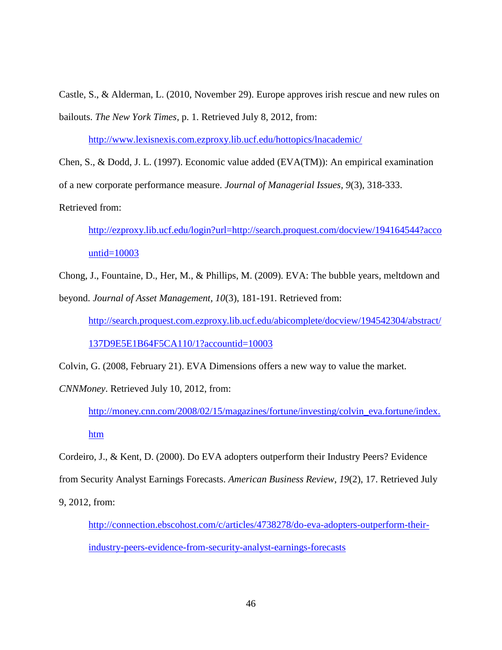Castle, S., & Alderman, L. (2010, November 29). Europe approves irish rescue and new rules on bailouts. *The New York Times*, p. 1. Retrieved July 8, 2012, from:

<http://www.lexisnexis.com.ezproxy.lib.ucf.edu/hottopics/lnacademic/>

Chen, S., & Dodd, J. L. (1997). Economic value added (EVA(TM)): An empirical examination of a new corporate performance measure. *Journal of Managerial Issues, 9*(3), 318-333.

Retrieved from:

[http://ezproxy.lib.ucf.edu/login?url=http://search.proquest.com/docview/194164544?acco](http://ezproxy.lib.ucf.edu/login?url=http://search.proquest.com/docview/194164544?accountid=10003) [untid=10003](http://ezproxy.lib.ucf.edu/login?url=http://search.proquest.com/docview/194164544?accountid=10003)

Chong, J., Fountaine, D., Her, M., & Phillips, M. (2009). EVA: The bubble years, meltdown and beyond. *Journal of Asset Management, 10*(3), 181-191. Retrieved from:

[http://search.proquest.com.ezproxy.lib.ucf.edu/abicomplete/docview/194542304/abstract/](http://search.proquest.com.ezproxy.lib.ucf.edu/abicomplete/docview/194542304/abstract/137D9E5E1B64F5CA110/1?accountid=10003)

[137D9E5E1B64F5CA110/1?accountid=10003](http://search.proquest.com.ezproxy.lib.ucf.edu/abicomplete/docview/194542304/abstract/137D9E5E1B64F5CA110/1?accountid=10003)

Colvin, G. (2008, February 21). EVA Dimensions offers a new way to value the market.

*CNNMoney*. Retrieved July 10, 2012, from:

[http://money.cnn.com/2008/02/15/magazines/fortune/investing/colvin\\_eva.fortune/index.](http://money.cnn.com/2008/02/15/magazines/fortune/investing/colvin_eva.fortune/index.htm) [htm](http://money.cnn.com/2008/02/15/magazines/fortune/investing/colvin_eva.fortune/index.htm)

Cordeiro, J., & Kent, D. (2000). Do EVA adopters outperform their Industry Peers? Evidence

from Security Analyst Earnings Forecasts. *American Business Review*, *19*(2), 17. Retrieved July

9, 2012, from:

[http://connection.ebscohost.com/c/articles/4738278/do-eva-adopters-outperform-their](http://connection.ebscohost.com/c/articles/4738278/do-eva-adopters-outperform-their-industry-peers-evidence-from-security-analyst-earnings-forecasts)[industry-peers-evidence-from-security-analyst-earnings-forecasts](http://connection.ebscohost.com/c/articles/4738278/do-eva-adopters-outperform-their-industry-peers-evidence-from-security-analyst-earnings-forecasts)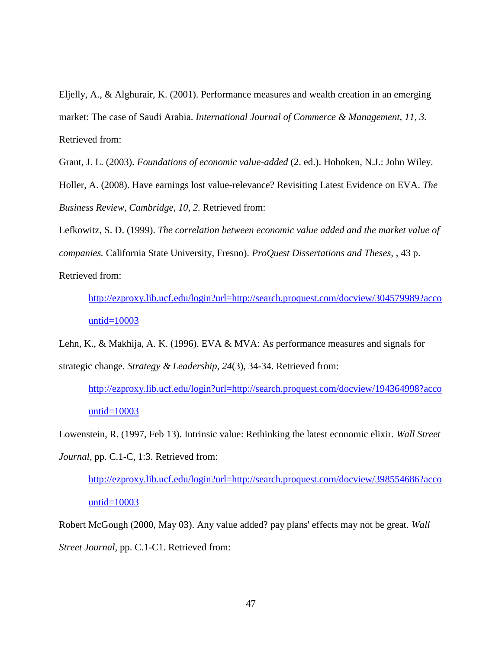Eljelly, A., & Alghurair, K. (2001). Performance measures and wealth creation in an emerging market: The case of Saudi Arabia. *International Journal of Commerce & Management, 11, 3.* Retrieved from:

Grant, J. L. (2003). *Foundations of economic value-added* (2. ed.). Hoboken, N.J.: John Wiley.

Holler, A. (2008). Have earnings lost value-relevance? Revisiting Latest Evidence on EVA. *The Business Review, Cambridge, 10, 2.* Retrieved from:

Lefkowitz, S. D. (1999). *The correlation between economic value added and the market value of companies.* California State University, Fresno). *ProQuest Dissertations and Theses,* , 43 p. Retrieved from:

[http://ezproxy.lib.ucf.edu/login?url=http://search.proquest.com/docview/304579989?acco](http://ezproxy.lib.ucf.edu/login?url=http://search.proquest.com/docview/304579989?accountid=10003) [untid=10003](http://ezproxy.lib.ucf.edu/login?url=http://search.proquest.com/docview/304579989?accountid=10003)

Lehn, K., & Makhija, A. K. (1996). EVA & MVA: As performance measures and signals for strategic change. *Strategy & Leadership, 24*(3), 34-34. Retrieved from:

[http://ezproxy.lib.ucf.edu/login?url=http://search.proquest.com/docview/194364998?acco](http://ezproxy.lib.ucf.edu/login?url=http://search.proquest.com/docview/194364998?accountid=10003) [untid=10003](http://ezproxy.lib.ucf.edu/login?url=http://search.proquest.com/docview/194364998?accountid=10003)

Lowenstein, R. (1997, Feb 13). Intrinsic value: Rethinking the latest economic elixir. *Wall Street Journal,* pp. C.1-C, 1:3. Retrieved from:

[http://ezproxy.lib.ucf.edu/login?url=http://search.proquest.com/docview/398554686?acco](http://ezproxy.lib.ucf.edu/login?url=http://search.proquest.com/docview/398554686?accountid=10003) [untid=10003](http://ezproxy.lib.ucf.edu/login?url=http://search.proquest.com/docview/398554686?accountid=10003)

Robert McGough (2000, May 03). Any value added? pay plans' effects may not be great. *Wall Street Journal,* pp. C.1-C1. Retrieved from: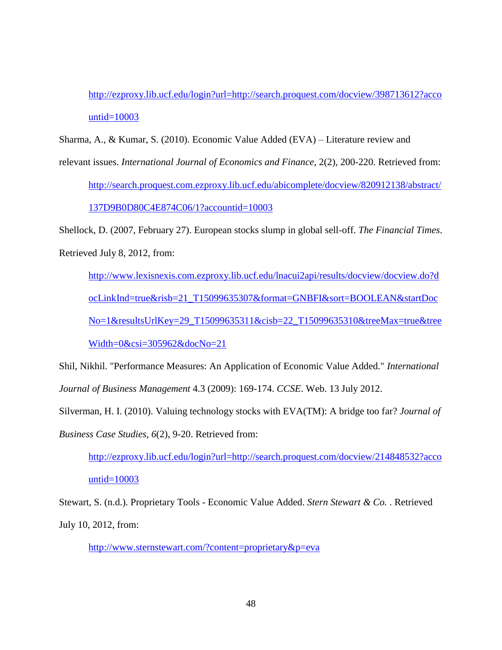[http://ezproxy.lib.ucf.edu/login?url=http://search.proquest.com/docview/398713612?acco](http://ezproxy.lib.ucf.edu/login?url=http://search.proquest.com/docview/398713612?accountid=10003) [untid=10003](http://ezproxy.lib.ucf.edu/login?url=http://search.proquest.com/docview/398713612?accountid=10003)

Sharma, A., & Kumar, S. (2010). Economic Value Added (EVA) – Literature review and

relevant issues. *International Journal of Economics and Finance,* 2(2), 200-220. Retrieved from: [http://search.proquest.com.ezproxy.lib.ucf.edu/abicomplete/docview/820912138/abstract/](http://search.proquest.com.ezproxy.lib.ucf.edu/abicomplete/docview/820912138/abstract/137D9B0D80C4E874C06/1?accountid=10003) [137D9B0D80C4E874C06/1?accountid=10003](http://search.proquest.com.ezproxy.lib.ucf.edu/abicomplete/docview/820912138/abstract/137D9B0D80C4E874C06/1?accountid=10003)

Shellock, D. (2007, February 27). European stocks slump in global sell-off. *The Financial Times*. Retrieved July 8, 2012, from:

[http://www.lexisnexis.com.ezproxy.lib.ucf.edu/lnacui2api/results/docview/docview.do?d](http://www.lexisnexis.com.ezproxy.lib.ucf.edu/lnacui2api/results/docview/docview.do?docLinkInd=true&risb=21_T15099635307&format=GNBFI&sort=BOOLEAN&startDocNo=1&resultsUrlKey=29_T15099635311&cisb=22_T15099635310&treeMax=true&treeWidth=0&csi=305962&docNo=21) [ocLinkInd=true&risb=21\\_T15099635307&format=GNBFI&sort=BOOLEAN&startDoc](http://www.lexisnexis.com.ezproxy.lib.ucf.edu/lnacui2api/results/docview/docview.do?docLinkInd=true&risb=21_T15099635307&format=GNBFI&sort=BOOLEAN&startDocNo=1&resultsUrlKey=29_T15099635311&cisb=22_T15099635310&treeMax=true&treeWidth=0&csi=305962&docNo=21) [No=1&resultsUrlKey=29\\_T15099635311&cisb=22\\_T15099635310&treeMax=true&tree](http://www.lexisnexis.com.ezproxy.lib.ucf.edu/lnacui2api/results/docview/docview.do?docLinkInd=true&risb=21_T15099635307&format=GNBFI&sort=BOOLEAN&startDocNo=1&resultsUrlKey=29_T15099635311&cisb=22_T15099635310&treeMax=true&treeWidth=0&csi=305962&docNo=21) [Width=0&csi=305962&docNo=21](http://www.lexisnexis.com.ezproxy.lib.ucf.edu/lnacui2api/results/docview/docview.do?docLinkInd=true&risb=21_T15099635307&format=GNBFI&sort=BOOLEAN&startDocNo=1&resultsUrlKey=29_T15099635311&cisb=22_T15099635310&treeMax=true&treeWidth=0&csi=305962&docNo=21)

Shil, Nikhil. "Performance Measures: An Application of Economic Value Added." *International Journal of Business Management* 4.3 (2009): 169-174. *CCSE*. Web. 13 July 2012.

Silverman, H. I. (2010). Valuing technology stocks with EVA(TM): A bridge too far? *Journal of Business Case Studies, 6*(2), 9-20. Retrieved from:

[http://ezproxy.lib.ucf.edu/login?url=http://search.proquest.com/docview/214848532?acco](http://ezproxy.lib.ucf.edu/login?url=http://search.proquest.com/docview/214848532?accountid=10003) [untid=10003](http://ezproxy.lib.ucf.edu/login?url=http://search.proquest.com/docview/214848532?accountid=10003)

Stewart, S. (n.d.). Proprietary Tools - Economic Value Added. *Stern Stewart & Co.* . Retrieved July 10, 2012, from:

<http://www.sternstewart.com/?content=proprietary&p=eva>